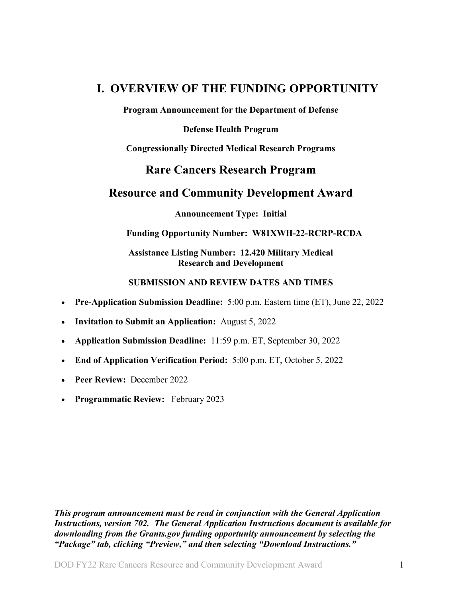## <span id="page-0-0"></span>**I. OVERVIEW OF THE FUNDING OPPORTUNITY**

**Program Announcement for the Department of Defense**

**Defense Health Program**

**Congressionally Directed Medical Research Programs**

## **Rare Cancers Research Program**

## **Resource and Community Development Award**

**Announcement Type: Initial**

## **Funding Opportunity Number: W81XWH-22-RCRP-RCDA**

## **Assistance Listing Number: 12.420 Military Medical Research and Development**

## **SUBMISSION AND REVIEW DATES AND TIMES**

- <span id="page-0-1"></span>• **Pre-Application Submission Deadline:** 5:00 p.m. Eastern time (ET), June 22, 2022
- **Invitation to Submit an Application:** August 5, 2022
- **Application Submission Deadline:** 11:59 p.m. ET, September 30, 2022
- **End of Application Verification Period:** 5:00 p.m. ET, October 5, 2022
- **Peer Review:** December 2022
- **Programmatic Review:** February 2023

*This program announcement must be read in conjunction with the General Application Instructions, version 702.**The General Application Instructions document is available for downloading from the Grants.gov funding opportunity announcement by selecting the "Package" tab, clicking "Preview," and then selecting "Download Instructions."*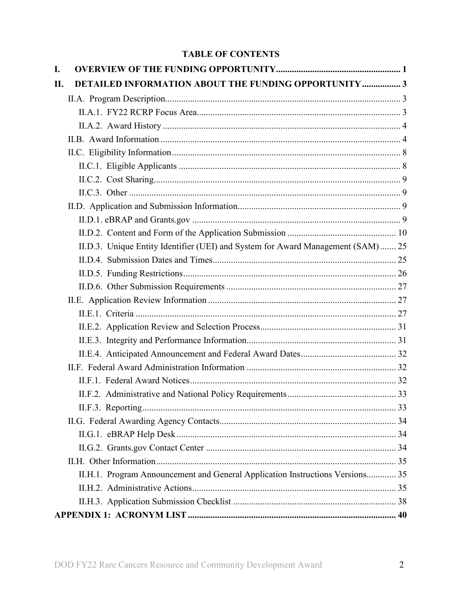## **TABLE OF CONTENTS**

| I.  |                                                                                  |  |
|-----|----------------------------------------------------------------------------------|--|
| II. | <b>DETAILED INFORMATION ABOUT THE FUNDING OPPORTUNITY  3</b>                     |  |
|     |                                                                                  |  |
|     |                                                                                  |  |
|     |                                                                                  |  |
|     |                                                                                  |  |
|     |                                                                                  |  |
|     |                                                                                  |  |
|     |                                                                                  |  |
|     |                                                                                  |  |
|     |                                                                                  |  |
|     |                                                                                  |  |
|     |                                                                                  |  |
|     | II.D.3. Unique Entity Identifier (UEI) and System for Award Management (SAM)  25 |  |
|     |                                                                                  |  |
|     |                                                                                  |  |
|     |                                                                                  |  |
|     |                                                                                  |  |
|     |                                                                                  |  |
|     |                                                                                  |  |
|     |                                                                                  |  |
|     |                                                                                  |  |
|     |                                                                                  |  |
|     |                                                                                  |  |
|     |                                                                                  |  |
|     |                                                                                  |  |
|     |                                                                                  |  |
|     |                                                                                  |  |
|     |                                                                                  |  |
|     |                                                                                  |  |
|     | II.H.1. Program Announcement and General Application Instructions Versions 35    |  |
|     |                                                                                  |  |
|     |                                                                                  |  |
|     |                                                                                  |  |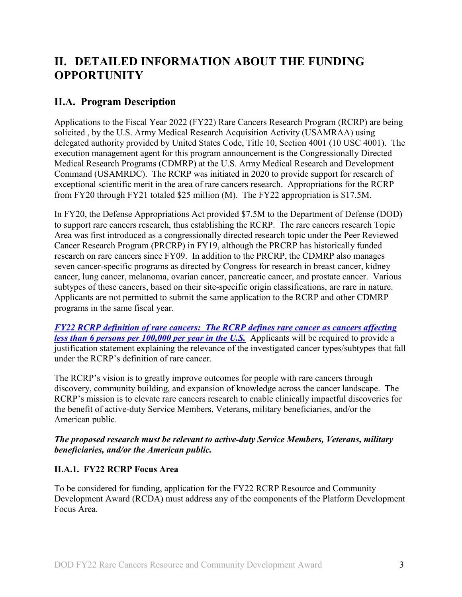# <span id="page-2-0"></span>**II. DETAILED INFORMATION ABOUT THE FUNDING OPPORTUNITY**

## <span id="page-2-1"></span>**II.A. Program Description**

<span id="page-2-3"></span>Applications to the Fiscal Year 2022 (FY22) Rare Cancers Research Program (RCRP) are being solicited , by the U.S. Army Medical Research Acquisition Activity (USAMRAA) using delegated authority provided by United States Code, Title 10, Section 4001 (10 USC 4001). The execution management agent for this program announcement is the Congressionally Directed Medical Research Programs (CDMRP) at the U.S. Army Medical Research and Development Command (USAMRDC). The RCRP was initiated in 2020 to provide support for research of exceptional scientific merit in the area of rare cancers research. Appropriations for the RCRP from FY20 through FY21 totaled \$25 million (M). The FY22 appropriation is \$17.5M.

In FY20, the Defense Appropriations Act provided \$7.5M to the Department of Defense (DOD) to support rare cancers research, thus establishing the RCRP. The rare cancers research Topic Area was first introduced as a congressionally directed research topic under the Peer Reviewed Cancer Research Program (PRCRP) in FY19, although the PRCRP has historically funded research on rare cancers since FY09. In addition to the PRCRP, the CDMRP also manages seven cancer-specific programs as directed by Congress for research in breast cancer, kidney cancer, lung cancer, melanoma, ovarian cancer, pancreatic cancer, and prostate cancer. Various subtypes of these cancers, based on their site-specific origin classifications, are rare in nature. Applicants are not permitted to submit the same application to the RCRP and other CDMRP programs in the same fiscal year.

<span id="page-2-4"></span>*FY22 [RCRP definition of rare cancers: The RCRP defines rare cancer as cancers affecting](https://cdmrp.army.mil/rcrp/default)  [less than 6 persons per 100,000 per year in the U.S.](https://cdmrp.army.mil/rcrp/default)* Applicants will be required to provide a justification statement explaining the relevance of the investigated cancer types/subtypes that fall under the RCRP's definition of rare cancer.

The RCRP's vision is to greatly improve outcomes for people with rare cancers through discovery, community building, and expansion of knowledge across the cancer landscape. The RCRP's mission is to elevate rare cancers research to enable clinically impactful discoveries for the benefit of active-duty Service Members, Veterans, military beneficiaries, and/or the American public.

## *The proposed research must be relevant to active-duty Service Members, Veterans, military beneficiaries, and/or the American public.*

## <span id="page-2-2"></span>**II.A.1. FY22 RCRP Focus Area**

To be considered for funding, application for the FY22 RCRP Resource and Community Development Award (RCDA) must address any of the components of the Platform Development Focus Area.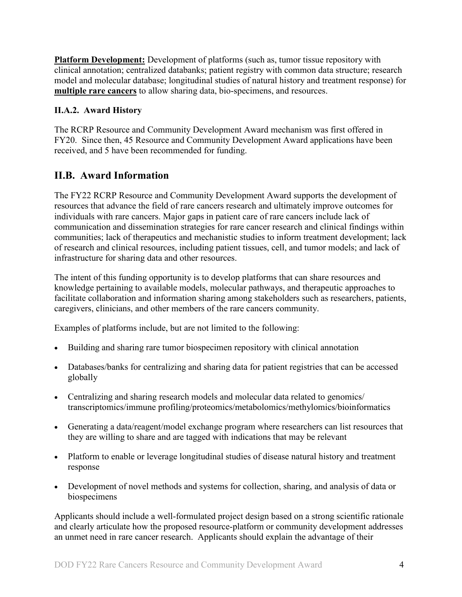**Platform Development:** Development of platforms (such as, tumor tissue repository with clinical annotation; centralized databanks; patient registry with common data structure; research model and molecular database; longitudinal studies of natural history and treatment response) for **multiple rare cancers** to allow sharing data, bio-specimens, and resources.

## <span id="page-3-0"></span>**II.A.2. Award History**

The RCRP Resource and Community Development Award mechanism was first offered in FY20. Since then, 45 Resource and Community Development Award applications have been received, and 5 have been recommended for funding.

## <span id="page-3-1"></span>**II.B. Award Information**

The FY22 RCRP Resource and Community Development Award supports the development of resources that advance the field of rare cancers research and ultimately improve outcomes for individuals with rare cancers. Major gaps in patient care of rare cancers include lack of communication and dissemination strategies for rare cancer research and clinical findings within communities; lack of therapeutics and mechanistic studies to inform treatment development; lack of research and clinical resources, including patient tissues, cell, and tumor models; and lack of infrastructure for sharing data and other resources.

The intent of this funding opportunity is to develop platforms that can share resources and knowledge pertaining to available models, molecular pathways, and therapeutic approaches to facilitate collaboration and information sharing among stakeholders such as researchers, patients, caregivers, clinicians, and other members of the rare cancers community.

Examples of platforms include, but are not limited to the following:

- Building and sharing rare tumor biospecimen repository with clinical annotation
- Databases/banks for centralizing and sharing data for patient registries that can be accessed globally
- Centralizing and sharing research models and molecular data related to genomics/ transcriptomics/immune profiling/proteomics/metabolomics/methylomics/bioinformatics
- Generating a data/reagent/model exchange program where researchers can list resources that they are willing to share and are tagged with indications that may be relevant
- Platform to enable or leverage longitudinal studies of disease natural history and treatment response
- Development of novel methods and systems for collection, sharing, and analysis of data or biospecimens

Applicants should include a well-formulated project design based on a strong scientific rationale and clearly articulate how the proposed resource-platform or community development addresses an unmet need in rare cancer research. Applicants should explain the advantage of their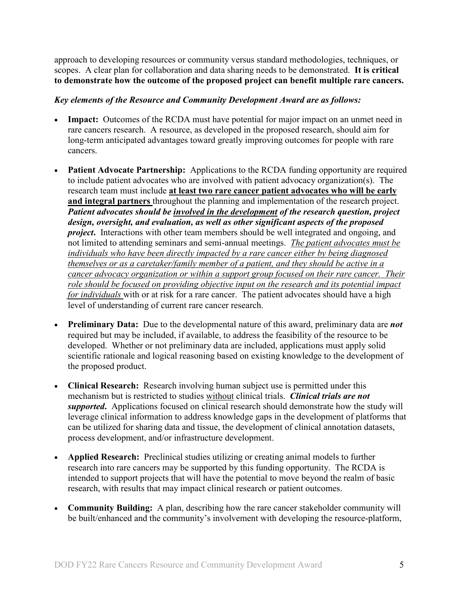approach to developing resources or community versus standard methodologies, techniques, or scopes. A clear plan for collaboration and data sharing needs to be demonstrated. **It is critical to demonstrate how the outcome of the proposed project can benefit multiple rare cancers.**

#### *Key elements of the Resource and Community Development Award are as follows:*

- **Impact:** Outcomes of the RCDA must have potential for major impact on an unmet need in rare cancers research. A resource, as developed in the proposed research, should aim for long-term anticipated advantages toward greatly improving outcomes for people with rare cancers.
- **Patient Advocate Partnership:** Applications to the RCDA funding opportunity are required to include patient advocates who are involved with patient advocacy organization(s). The research team must include **at least two rare cancer patient advocates who will be early and integral partners** throughout the planning and implementation of the research project. *Patient advocates should be involved in the development of the research question, project design, oversight, and evaluation, as well as other significant aspects of the proposed project***.** Interactions with other team members should be well integrated and ongoing, and not limited to attending seminars and semi-annual meetings. *The patient advocates must be individuals who have been directly impacted by a rare cancer either by being diagnosed themselves or as a caretaker/family member of a patient, and they should be active in a cancer advocacy organization or within a support group focused on their rare cancer. Their role should be focused on providing objective input on the research and its potential impact for individuals* with or at risk for a rare cancer. The patient advocates should have a high level of understanding of current rare cancer research.
- **Preliminary Data:** Due to the developmental nature of this award, preliminary data are *not* required but may be included, if available, to address the feasibility of the resource to be developed. Whether or not preliminary data are included, applications must apply solid scientific rationale and logical reasoning based on existing knowledge to the development of the proposed product.
- **Clinical Research:** Research involving human subject use is permitted under this mechanism but is restricted to studies without clinical trials. *Clinical trials are not supported***.** Applications focused on clinical research should demonstrate how the study will leverage clinical information to address knowledge gaps in the development of platforms that can be utilized for sharing data and tissue, the development of clinical annotation datasets, process development, and/or infrastructure development.
- **Applied Research:** Preclinical studies utilizing or creating animal models to further research into rare cancers may be supported by this funding opportunity. The RCDA is intended to support projects that will have the potential to move beyond the realm of basic research, with results that may impact clinical research or patient outcomes.
- **Community Building:** A plan, describing how the rare cancer stakeholder community will be built/enhanced and the community's involvement with developing the resource-platform,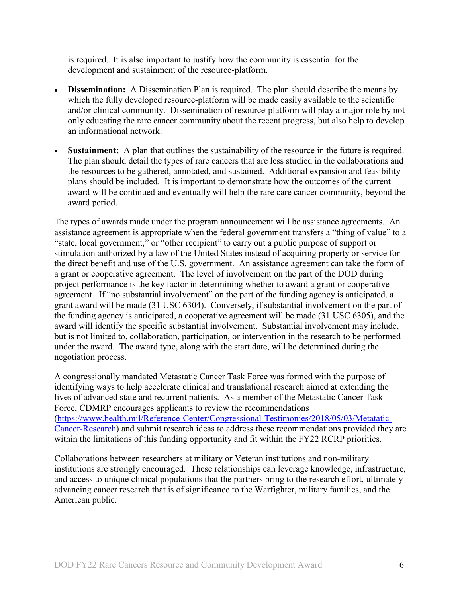is required. It is also important to justify how the community is essential for the development and sustainment of the resource-platform.

- **Dissemination:** A Dissemination Plan is required. The plan should describe the means by which the fully developed resource-platform will be made easily available to the scientific and/or clinical community. Dissemination of resource-platform will play a major role by not only educating the rare cancer community about the recent progress, but also help to develop an informational network.
- **Sustainment:** A plan that outlines the sustainability of the resource in the future is required. The plan should detail the types of rare cancers that are less studied in the collaborations and the resources to be gathered, annotated, and sustained. Additional expansion and feasibility plans should be included. It is important to demonstrate how the outcomes of the current award will be continued and eventually will help the rare care cancer community, beyond the award period.

The types of awards made under the program announcement will be assistance agreements. An assistance agreement is appropriate when the federal government transfers a "thing of value" to a "state, local government," or "other recipient" to carry out a public purpose of support or stimulation authorized by a law of the United States instead of acquiring property or service for the direct benefit and use of the U.S. government. An assistance agreement can take the form of a grant or cooperative agreement. The level of involvement on the part of the DOD during project performance is the key factor in determining whether to award a grant or cooperative agreement. If "no substantial involvement" on the part of the funding agency is anticipated, a grant award will be made (31 USC 6304). Conversely, if substantial involvement on the part of the funding agency is anticipated, a cooperative agreement will be made (31 USC 6305), and the award will identify the specific substantial involvement. Substantial involvement may include, but is not limited to, collaboration, participation, or intervention in the research to be performed under the award. The award type, along with the start date, will be determined during the negotiation process.

A congressionally mandated Metastatic Cancer Task Force was formed with the purpose of identifying ways to help accelerate clinical and translational research aimed at extending the lives of advanced state and recurrent patients. As a member of the Metastatic Cancer Task Force, CDMRP encourages applicants to review the recommendations [\(https://www.health.mil/Reference-Center/Congressional-Testimonies/2018/05/03/Metatatic-](https://www.health.mil/Reference-Center/Congressional-Testimonies)[Cancer-Research\)](https://www.health.mil/Reference-Center/Congressional-Testimonies) and submit research ideas to address these recommendations provided they are within the limitations of this funding opportunity and fit within the FY22 RCRP priorities.

Collaborations between researchers at military or Veteran institutions and non-military institutions are strongly encouraged. These relationships can leverage knowledge, infrastructure, and access to unique clinical populations that the partners bring to the research effort, ultimately advancing cancer research that is of significance to the Warfighter, military families, and the American public.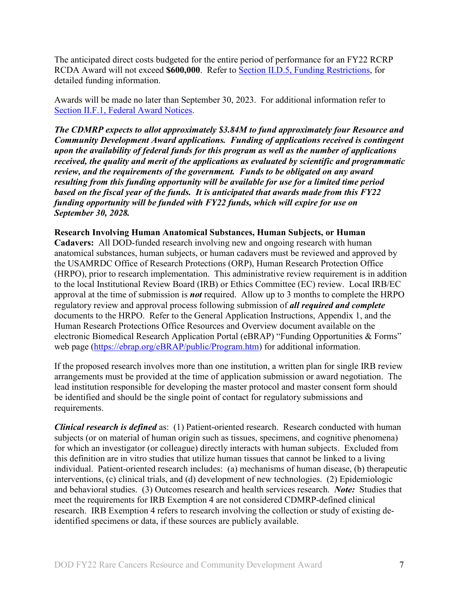The anticipated direct costs budgeted for the entire period of performance for an FY22 RCRP RCDA Award will not exceed **\$600,000**. Refer to Section [II.D.5, Funding Restrictions,](#page-25-0) for detailed funding information.

Awards will be made no later than September 30, 2023. For additional information refer to [Section II.F.1, Federal Award Notices.](#page-31-2)

*The CDMRP expects to allot approximately \$3.84M to fund approximately four Resource and Community Development Award applications. Funding of applications received is contingent upon the availability of federal funds for this program as well as the number of applications received, the quality and merit of the applications as evaluated by scientific and programmatic review, and the requirements of the government. Funds to be obligated on any award resulting from this funding opportunity will be available for use for a limited time period based on the fiscal year of the funds. It is anticipated that awards made from this FY22 funding opportunity will be funded with FY22 funds, which will expire for use on September 30, 2028.*

#### **Research Involving Human Anatomical Substances, Human Subjects, or Human**

**Cadavers:** All DOD-funded research involving new and ongoing research with human anatomical substances, human subjects, or human cadavers must be reviewed and approved by the USAMRDC Office of Research Protections (ORP), Human Research Protection Office (HRPO), prior to research implementation. This administrative review requirement is in addition to the local Institutional Review Board (IRB) or Ethics Committee (EC) review. Local IRB/EC approval at the time of submission is *not* required. Allow up to 3 months to complete the HRPO regulatory review and approval process following submission of *all required and complete* documents to the HRPO. Refer to the General Application Instructions, Appendix 1, and the Human Research Protections Office Resources and Overview document available on the electronic Biomedical Research Application Portal (eBRAP) "Funding Opportunities & Forms" web page [\(https://ebrap.org/eBRAP/public/Program.htm\)](https://ebrap.org/eBRAP/public/Program.htm) for additional information.

If the proposed research involves more than one institution, a written plan for single IRB review arrangements must be provided at the time of application submission or award negotiation. The lead institution responsible for developing the master protocol and master consent form should be identified and should be the single point of contact for regulatory submissions and requirements.

*Clinical research is defined* as: (1) Patient-oriented research. Research conducted with human subjects (or on material of human origin such as tissues, specimens, and cognitive phenomena) for which an investigator (or colleague) directly interacts with human subjects. Excluded from this definition are in vitro studies that utilize human tissues that cannot be linked to a living individual. Patient-oriented research includes: (a) mechanisms of human disease, (b) therapeutic interventions, (c) clinical trials, and (d) development of new technologies. (2) Epidemiologic and behavioral studies. (3) Outcomes research and health services research. *Note:* Studies that meet the requirements for IRB Exemption 4 are not considered CDMRP-defined clinical research. IRB Exemption 4 refers to research involving the collection or study of existing deidentified specimens or data, if these sources are publicly available.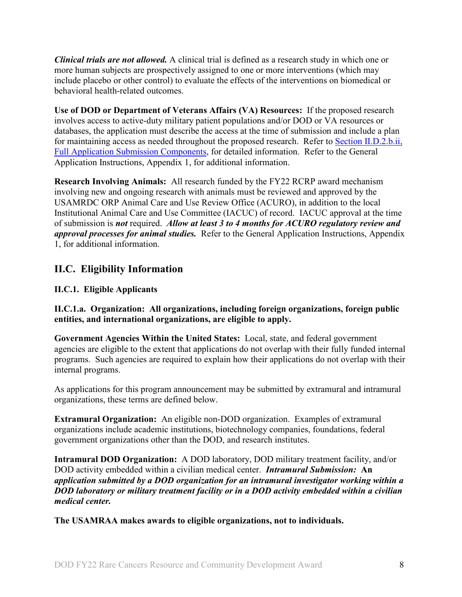*Clinical trials are not allowed.* A clinical trial is defined as a research study in which one or more human subjects are prospectively assigned to one or more interventions (which may include placebo or other control) to evaluate the effects of the interventions on biomedical or behavioral health-related outcomes.

**Use of DOD or Department of Veterans Affairs (VA) Resources:** If the proposed research involves access to active-duty military patient populations and/or DOD or VA resources or databases, the application must describe the access at the time of submission and include a plan for maintaining access as needed throughout the proposed research. Refer to Section [II.D.2.b.ii,](#page-15-0)  [Full Application Submission Components,](#page-15-0) for detailed information. Refer to the General Application Instructions, Appendix 1, for additional information.

**Research Involving Animals:** All research funded by the FY22 RCRP award mechanism involving new and ongoing research with animals must be reviewed and approved by the USAMRDC ORP Animal Care and Use Review Office (ACURO), in addition to the local Institutional Animal Care and Use Committee (IACUC) of record. IACUC approval at the time of submission is *not* required. *Allow at least 3 to 4 months for ACURO regulatory review and approval processes for animal studies.* Refer to the General Application Instructions, Appendix 1, for additional information.

## <span id="page-7-0"></span>**II.C. Eligibility Information**

<span id="page-7-1"></span>**II.C.1. Eligible Applicants**

**II.C.1.a. Organization: All organizations, including foreign organizations, foreign public entities, and international organizations, are eligible to apply.**

**Government Agencies Within the United States:** Local, state, and federal government agencies are eligible to the extent that applications do not overlap with their fully funded internal programs. Such agencies are required to explain how their applications do not overlap with their internal programs.

As applications for this program announcement may be submitted by extramural and intramural organizations, these terms are defined below.

**Extramural Organization:** An eligible non-DOD organization. Examples of extramural organizations include academic institutions, biotechnology companies, foundations, federal government organizations other than the DOD, and research institutes.

**Intramural DOD Organization:** A DOD laboratory, DOD military treatment facility, and/or DOD activity embedded within a civilian medical center. *Intramural Submission:* **An**  *application submitted by a DOD organization for an intramural investigator working within a DOD laboratory or military treatment facility or in a DOD activity embedded within a civilian medical center.*

**The USAMRAA makes awards to eligible organizations, not to individuals.**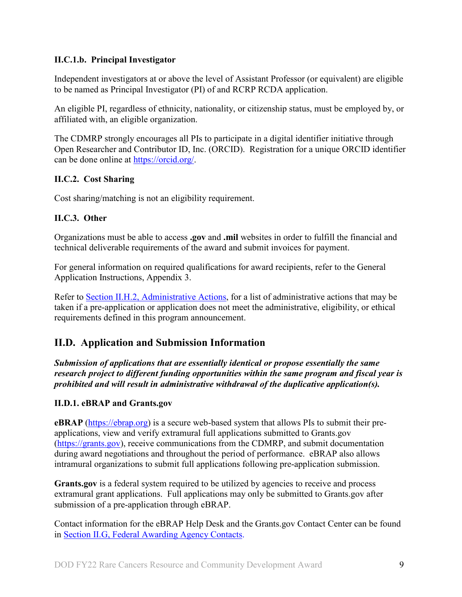## **II.C.1.b. Principal Investigator**

Independent investigators at or above the level of Assistant Professor (or equivalent) are eligible to be named as Principal Investigator (PI) of and RCRP RCDA application.

An eligible PI, regardless of ethnicity, nationality, or citizenship status, must be employed by, or affiliated with, an eligible organization.

The CDMRP strongly encourages all PIs to participate in a digital identifier initiative through Open Researcher and Contributor ID, Inc. (ORCID). Registration for a unique ORCID identifier can be done online at [https://orcid.org/.](https://orcid.org/)

## <span id="page-8-0"></span>**II.C.2. Cost Sharing**

Cost sharing/matching is not an eligibility requirement.

## <span id="page-8-1"></span>**II.C.3. Other**

Organizations must be able to access **.gov** and **.mil** websites in order to fulfill the financial and technical deliverable requirements of the award and submit invoices for payment.

For general information on required qualifications for award recipients, refer to the General Application Instructions, Appendix 3.

Refer to [Section II.H.2, Administrative Actions,](#page-34-2) for a list of administrative actions that may be taken if a pre-application or application does not meet the administrative, eligibility, or ethical requirements defined in this program announcement.

## <span id="page-8-2"></span>**II.D. Application and Submission Information**

*Submission of applications that are essentially identical or propose essentially the same research project to different funding opportunities within the same program and fiscal year is prohibited and will result in administrative withdrawal of the duplicative application(s).*

## <span id="page-8-3"></span>**II.D.1. eBRAP and Grants.gov**

**eBRAP** [\(https://ebrap.org\)](https://ebrap.org/) is a secure web-based system that allows PIs to submit their preapplications, view and verify extramural full applications submitted to Grants.gov [\(https://grants.gov\)](https://grants.gov/), receive communications from the CDMRP, and submit documentation during award negotiations and throughout the period of performance. eBRAP also allows intramural organizations to submit full applications following pre-application submission.

Grants.gov is a federal system required to be utilized by agencies to receive and process extramural grant applications. Full applications may only be submitted to Grants.gov after submission of a pre-application through eBRAP.

Contact information for the eBRAP Help Desk and the Grants.gov Contact Center can be found in [Section II.G, Federal Awarding Agency Contacts.](#page-33-0)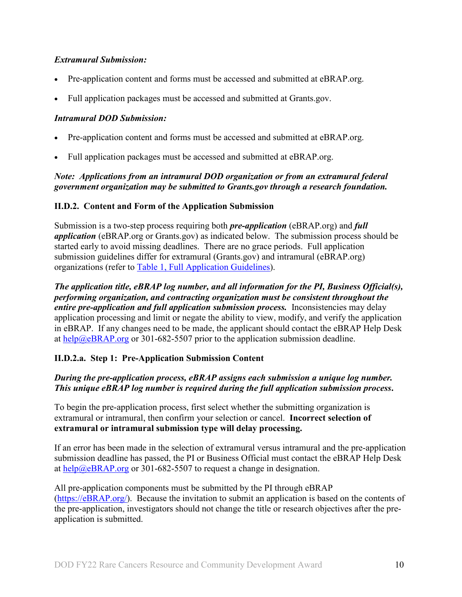## *Extramural Submission:*

- Pre-application content and forms must be accessed and submitted at eBRAP.org.
- Full application packages must be accessed and submitted at Grants.gov.

## *Intramural DOD Submission:*

- Pre-application content and forms must be accessed and submitted at eBRAP.org.
- Full application packages must be accessed and submitted at eBRAP.org.

## *Note: Applications from an intramural DOD organization or from an extramural federal government organization may be submitted to Grants.gov through a research foundation.*

## <span id="page-9-0"></span>**II.D.2. Content and Form of the Application Submission**

Submission is a two-step process requiring both *pre-application* (eBRAP.org) and *full application* (eBRAP.org or Grants.gov) as indicated below. The submission process should be started early to avoid missing deadlines. There are no grace periods. Full application submission guidelines differ for extramural (Grants.gov) and intramural (eBRAP.org) organizations (refer to [Table 1, Full Application Guidelines\)](#page-13-0).

*The application title, eBRAP log number, and all information for the PI, Business Official(s), performing organization, and contracting organization must be consistent throughout the entire pre-application and full application submission process.* Inconsistencies may delay application processing and limit or negate the ability to view, modify, and verify the application in eBRAP. If any changes need to be made, the applicant should contact the eBRAP Help Desk at [help@eBRAP.org](mailto:help@eBRAP.org) or 301-682-5507 prior to the application submission deadline.

## **II.D.2.a. Step 1: Pre-Application Submission Content**

## *During the pre-application process, eBRAP assigns each submission a unique log number. This unique eBRAP log number is required during the full application submission process***.**

To begin the pre-application process, first select whether the submitting organization is extramural or intramural, then confirm your selection or cancel. **Incorrect selection of extramural or intramural submission type will delay processing.**

If an error has been made in the selection of extramural versus intramural and the pre-application submission deadline has passed, the PI or Business Official must contact the eBRAP Help Desk at  $\frac{help@eBRAP.org}{0.0000}$  or 301-682-5507 to request a change in designation.

All pre-application components must be submitted by the PI through eBRAP [\(https://eBRAP.org/\)](https://ebrap.org/). Because the invitation to submit an application is based on the contents of the pre-application, investigators should not change the title or research objectives after the preapplication is submitted.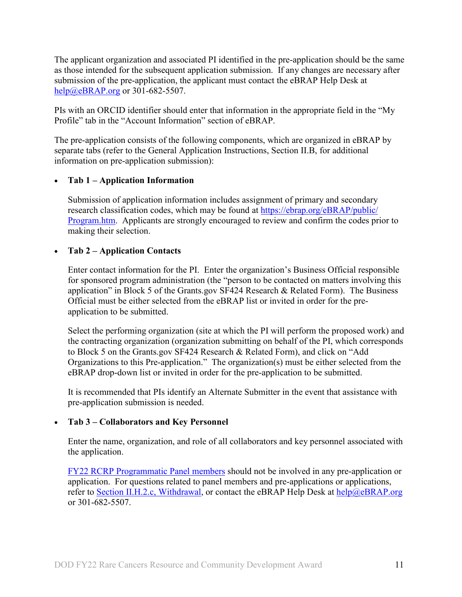The applicant organization and associated PI identified in the pre-application should be the same as those intended for the subsequent application submission. If any changes are necessary after submission of the pre-application, the applicant must contact the eBRAP Help Desk at [help@eBRAP.org](mailto:help@eBRAP.org) or 301-682-5507.

PIs with an ORCID identifier should enter that information in the appropriate field in the "My Profile" tab in the "Account Information" section of eBRAP.

The pre-application consists of the following components, which are organized in eBRAP by separate tabs (refer to the General Application Instructions, Section II.B, for additional information on pre-application submission):

#### • **Tab 1 – Application Information**

Submission of application information includes assignment of primary and secondary research classification codes, which may be found at [https://ebrap.org/eBRAP/public/](https://ebrap.org/eBRAP/public/Program.htm) [Program.htm.](https://ebrap.org/eBRAP/public/Program.htm) Applicants are strongly encouraged to review and confirm the codes prior to making their selection.

#### • **Tab 2 – Application Contacts**

Enter contact information for the PI. Enter the organization's Business Official responsible for sponsored program administration (the "person to be contacted on matters involving this application" in Block 5 of the Grants.gov SF424 Research & Related Form). The Business Official must be either selected from the eBRAP list or invited in order for the preapplication to be submitted.

Select the performing organization (site at which the PI will perform the proposed work) and the contracting organization (organization submitting on behalf of the PI, which corresponds to Block 5 on the Grants.gov SF424 Research & Related Form), and click on "Add Organizations to this Pre-application." The organization(s) must be either selected from the eBRAP drop-down list or invited in order for the pre-application to be submitted.

It is recommended that PIs identify an Alternate Submitter in the event that assistance with pre-application submission is needed.

## • **Tab 3 – Collaborators and Key Personnel**

Enter the name, organization, and role of all collaborators and key personnel associated with the application.

FY22 [RCRP Programmatic Panel members](http://cdmrp.army.mil/rcrp/panels/panels22) should not be involved in any pre-application or application. For questions related to panel members and pre-applications or applications, refer to Section [II.H.2.c, Withdrawal,](#page-34-3) or contact the eBRAP Help Desk at [help@eBRAP.org](mailto:help@eBRAP.org) or 301-682-5507.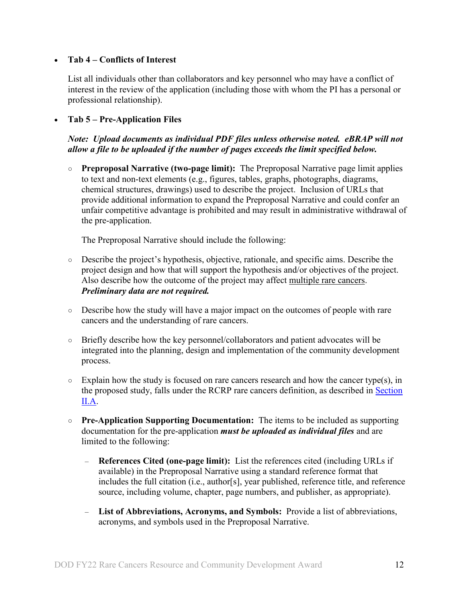#### • **Tab 4 – Conflicts of Interest**

List all individuals other than collaborators and key personnel who may have a conflict of interest in the review of the application (including those with whom the PI has a personal or professional relationship).

## • **Tab 5 – Pre-Application Files**

#### *Note: Upload documents as individual PDF files unless otherwise noted. eBRAP will not allow a file to be uploaded if the number of pages exceeds the limit specified below.*

○ **Preproposal Narrative (two-page limit):** The Preproposal Narrative page limit applies to text and non-text elements (e.g., figures, tables, graphs, photographs, diagrams, chemical structures, drawings) used to describe the project. Inclusion of URLs that provide additional information to expand the Preproposal Narrative and could confer an unfair competitive advantage is prohibited and may result in administrative withdrawal of the pre-application.

The Preproposal Narrative should include the following:

- Describe the project's hypothesis, objective, rationale, and specific aims. Describe the project design and how that will support the hypothesis and/or objectives of the project. Also describe how the outcome of the project may affect multiple rare cancers. *Preliminary data are not required.*
- Describe how the study will have a major impact on the outcomes of people with rare cancers and the understanding of rare cancers.
- Briefly describe how the key personnel/collaborators and patient advocates will be integrated into the planning, design and implementation of the community development process.
- $\circ$  Explain how the study is focused on rare cancers research and how the cancer type(s), in the proposed study, falls under the RCRP rare cancers definition, as described in [Section](#page-2-3)  [II.A.](#page-2-3)
- **Pre-Application Supporting Documentation:** The items to be included as supporting documentation for the pre-application *must be uploaded as individual files* and are limited to the following:
	- **References Cited (one-page limit):** List the references cited (including URLs if available) in the Preproposal Narrative using a standard reference format that includes the full citation (i.e., author[s], year published, reference title, and reference source, including volume, chapter, page numbers, and publisher, as appropriate).
	- **List of Abbreviations, Acronyms, and Symbols:** Provide a list of abbreviations, acronyms, and symbols used in the Preproposal Narrative.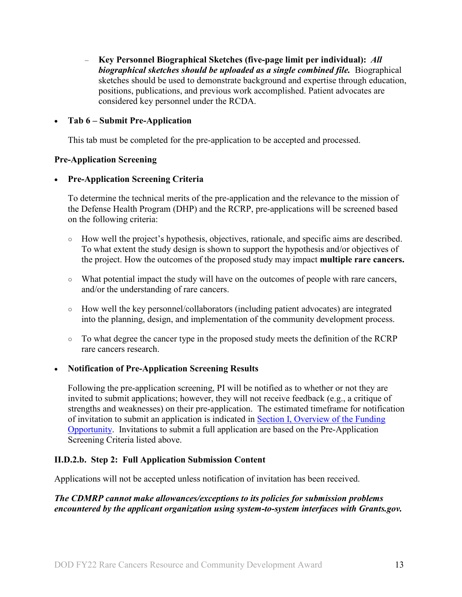– **Key Personnel Biographical Sketches (five-page limit per individual):** *All biographical sketches should be uploaded as a single combined file.* Biographical sketches should be used to demonstrate background and expertise through education, positions, publications, and previous work accomplished. Patient advocates are considered key personnel under the RCDA.

#### • **Tab 6 – Submit Pre-Application**

This tab must be completed for the pre-application to be accepted and processed.

#### **Pre-Application Screening**

#### • **Pre-Application Screening Criteria**

To determine the technical merits of the pre-application and the relevance to the mission of the Defense Health Program (DHP) and the RCRP, pre-applications will be screened based on the following criteria:

- **○** How well the project's hypothesis, objectives, rationale, and specific aims are described. To what extent the study design is shown to support the hypothesis and/or objectives of the project. How the outcomes of the proposed study may impact **multiple rare cancers.**
- **○** What potential impact the study will have on the outcomes of people with rare cancers, and/or the understanding of rare cancers.
- **○** How well the key personnel/collaborators (including patient advocates) are integrated into the planning, design, and implementation of the community development process.
- **○** To what degree the cancer type in the proposed study meets the definition of the RCRP rare cancers research.

## • **Notification of Pre-Application Screening Results**

Following the pre-application screening, PI will be notified as to whether or not they are invited to submit applications; however, they will not receive feedback (e.g., a critique of strengths and weaknesses) on their pre-application. The estimated timeframe for notification of invitation to submit an application is indicated in Section [I, Overview of the Funding](#page-0-1)  [Opportunity.](#page-0-1) Invitations to submit a full application are based on the Pre-Application Screening Criteria listed above.

## **II.D.2.b. Step 2: Full Application Submission Content**

Applications will not be accepted unless notification of invitation has been received.

#### *The CDMRP cannot make allowances/exceptions to its policies for submission problems encountered by the applicant organization using system-to-system interfaces with Grants.gov.*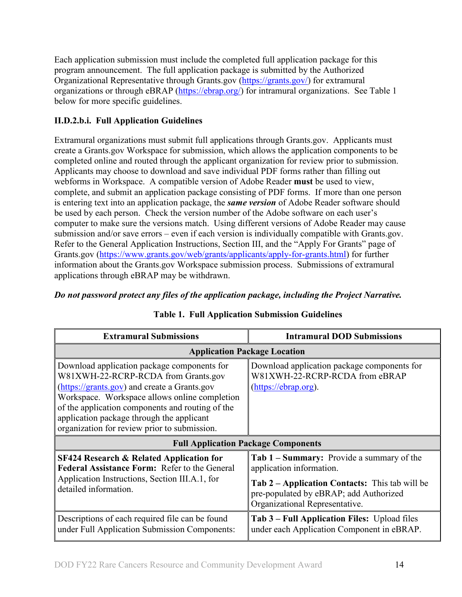Each application submission must include the completed full application package for this program announcement. The full application package is submitted by the Authorized Organizational Representative through Grants.gov [\(https://grants.gov/\)](https://www.grants.gov/) for extramural organizations or through eBRAP [\(https://ebrap.org/\)](https://ebrap.org/) for intramural organizations. See Table 1 below for more specific guidelines.

## **II.D.2.b.i. Full Application Guidelines**

Extramural organizations must submit full applications through Grants.gov. Applicants must create a Grants.gov Workspace for submission, which allows the application components to be completed online and routed through the applicant organization for review prior to submission. Applicants may choose to download and save individual PDF forms rather than filling out webforms in Workspace. A compatible version of Adobe Reader **must** be used to view, complete, and submit an application package consisting of PDF forms. If more than one person is entering text into an application package, the *same version* of Adobe Reader software should be used by each person. Check the version number of the Adobe software on each user's computer to make sure the versions match. Using different versions of Adobe Reader may cause submission and/or save errors – even if each version is individually compatible with Grants.gov. Refer to the General Application Instructions, Section III, and the "Apply For Grants" page of Grants.gov [\(https://www.grants.gov/web/grants/applicants/apply-for-grants.html\)](https://www.grants.gov/web/grants/applicants/apply-for-grants.html) for further information about the Grants.gov Workspace submission process. Submissions of extramural applications through eBRAP may be withdrawn.

## <span id="page-13-0"></span>*Do not password protect any files of the application package, including the Project Narrative.*

| <b>Extramural Submissions</b>                                                                                                                                                                                                                                                                                                        | <b>Intramural DOD Submissions</b>                                                                                                                                                                   |
|--------------------------------------------------------------------------------------------------------------------------------------------------------------------------------------------------------------------------------------------------------------------------------------------------------------------------------------|-----------------------------------------------------------------------------------------------------------------------------------------------------------------------------------------------------|
| <b>Application Package Location</b>                                                                                                                                                                                                                                                                                                  |                                                                                                                                                                                                     |
| Download application package components for<br>W81XWH-22-RCRP-RCDA from Grants.gov<br>(https://grants.gov) and create a Grants.gov<br>Workspace. Workspace allows online completion<br>of the application components and routing of the<br>application package through the applicant<br>organization for review prior to submission. | Download application package components for<br>W81XWH-22-RCRP-RCDA from eBRAP<br>(https://ebrap.org).                                                                                               |
| <b>Full Application Package Components</b>                                                                                                                                                                                                                                                                                           |                                                                                                                                                                                                     |
| <b>SF424 Research &amp; Related Application for</b><br>Federal Assistance Form: Refer to the General<br>Application Instructions, Section III.A.1, for<br>detailed information.                                                                                                                                                      | Tab 1 – Summary: Provide a summary of the<br>application information.<br>Tab 2 – Application Contacts: This tab will be<br>pre-populated by eBRAP; add Authorized<br>Organizational Representative. |
| Descriptions of each required file can be found<br>under Full Application Submission Components:                                                                                                                                                                                                                                     | Tab 3 – Full Application Files: Upload files                                                                                                                                                        |

## **Table 1. Full Application Submission Guidelines**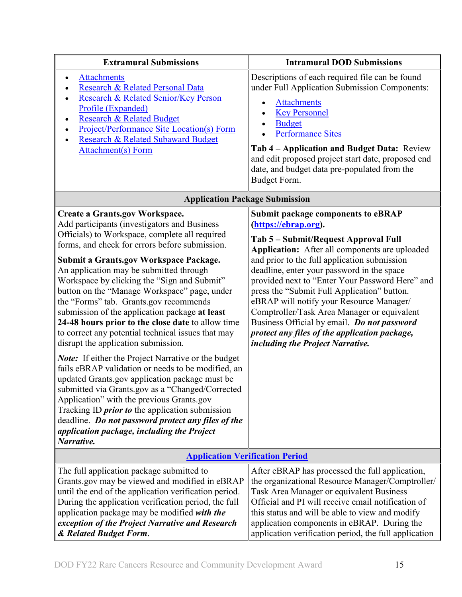| <b>Extramural Submissions</b>                                                                                                                                                                                                                                                                                                                                                                                                                                                                                                                                                                                                                                                                                                                                                                                                                                                                                                                                                                                                                                                  | <b>Intramural DOD Submissions</b>                                                                                                                                                                                                                                                                                                                                                                                                                                                                                                                                                          |  |  |
|--------------------------------------------------------------------------------------------------------------------------------------------------------------------------------------------------------------------------------------------------------------------------------------------------------------------------------------------------------------------------------------------------------------------------------------------------------------------------------------------------------------------------------------------------------------------------------------------------------------------------------------------------------------------------------------------------------------------------------------------------------------------------------------------------------------------------------------------------------------------------------------------------------------------------------------------------------------------------------------------------------------------------------------------------------------------------------|--------------------------------------------------------------------------------------------------------------------------------------------------------------------------------------------------------------------------------------------------------------------------------------------------------------------------------------------------------------------------------------------------------------------------------------------------------------------------------------------------------------------------------------------------------------------------------------------|--|--|
| <b>Attachments</b><br>$\bullet$<br>Research & Related Personal Data<br>Research & Related Senior/Key Person<br>Profile (Expanded)<br><b>Research &amp; Related Budget</b><br>$\bullet$<br><b>Project/Performance Site Location(s) Form</b><br>Research & Related Subaward Budget<br><b>Attachment(s) Form</b>                                                                                                                                                                                                                                                                                                                                                                                                                                                                                                                                                                                                                                                                                                                                                                  | Descriptions of each required file can be found<br>under Full Application Submission Components:<br><b>Attachments</b><br>$\bullet$<br><b>Key Personnel</b><br><b>Budget</b><br><b>Performance Sites</b><br>Tab 4 – Application and Budget Data: Review<br>and edit proposed project start date, proposed end<br>date, and budget data pre-populated from the<br>Budget Form.                                                                                                                                                                                                              |  |  |
|                                                                                                                                                                                                                                                                                                                                                                                                                                                                                                                                                                                                                                                                                                                                                                                                                                                                                                                                                                                                                                                                                | <b>Application Package Submission</b>                                                                                                                                                                                                                                                                                                                                                                                                                                                                                                                                                      |  |  |
| <b>Create a Grants.gov Workspace.</b><br>Add participants (investigators and Business<br>Officials) to Workspace, complete all required<br>forms, and check for errors before submission.<br><b>Submit a Grants.gov Workspace Package.</b><br>An application may be submitted through<br>Workspace by clicking the "Sign and Submit"<br>button on the "Manage Workspace" page, under<br>the "Forms" tab. Grants.gov recommends<br>submission of the application package at least<br>24-48 hours prior to the close date to allow time<br>to correct any potential technical issues that may<br>disrupt the application submission.<br>Note: If either the Project Narrative or the budget<br>fails eBRAP validation or needs to be modified, an<br>updated Grants.gov application package must be<br>submitted via Grants.gov as a "Changed/Corrected<br>Application" with the previous Grants.gov<br>Tracking ID <i>prior to</i> the application submission<br>deadline. Do not password protect any files of the<br>application package, including the Project<br>Narrative. | <b>Submit package components to eBRAP</b><br>(https://ebrap.org).<br>Tab 5 - Submit/Request Approval Full<br>Application: After all components are uploaded<br>and prior to the full application submission<br>deadline, enter your password in the space<br>provided next to "Enter Your Password Here" and<br>press the "Submit Full Application" button.<br>eBRAP will notify your Resource Manager/<br>Comptroller/Task Area Manager or equivalent<br>Business Official by email. Do not password<br>protect any files of the application package,<br>including the Project Narrative. |  |  |
| <b>Application Verification Period</b>                                                                                                                                                                                                                                                                                                                                                                                                                                                                                                                                                                                                                                                                                                                                                                                                                                                                                                                                                                                                                                         |                                                                                                                                                                                                                                                                                                                                                                                                                                                                                                                                                                                            |  |  |
| The full application package submitted to<br>Grants.gov may be viewed and modified in eBRAP<br>until the end of the application verification period.<br>During the application verification period, the full<br>application package may be modified with the<br>exception of the Project Narrative and Research<br>& Related Budget Form.                                                                                                                                                                                                                                                                                                                                                                                                                                                                                                                                                                                                                                                                                                                                      | After eBRAP has processed the full application,<br>the organizational Resource Manager/Comptroller/<br>Task Area Manager or equivalent Business<br>Official and PI will receive email notification of<br>this status and will be able to view and modify<br>application components in eBRAP. During the<br>application verification period, the full application                                                                                                                                                                                                                           |  |  |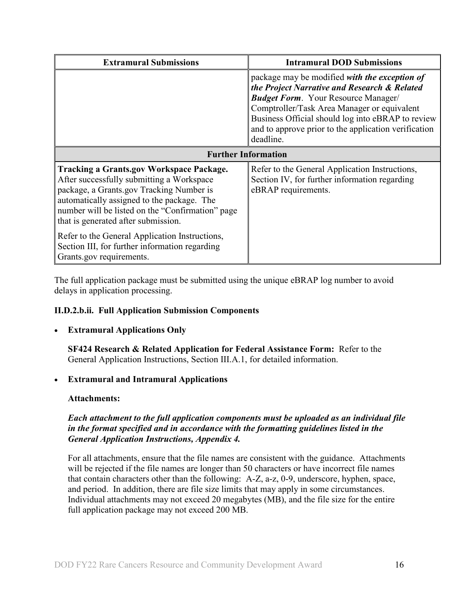| <b>Extramural Submissions</b>                                                                                                                                                                                                                                                     | <b>Intramural DOD Submissions</b>                                                                                                                                                                                                                                                                                    |  |
|-----------------------------------------------------------------------------------------------------------------------------------------------------------------------------------------------------------------------------------------------------------------------------------|----------------------------------------------------------------------------------------------------------------------------------------------------------------------------------------------------------------------------------------------------------------------------------------------------------------------|--|
|                                                                                                                                                                                                                                                                                   | package may be modified with the exception of<br>the Project Narrative and Research & Related<br><b>Budget Form.</b> Your Resource Manager/<br>Comptroller/Task Area Manager or equivalent<br>Business Official should log into eBRAP to review<br>and to approve prior to the application verification<br>deadline. |  |
| <b>Further Information</b>                                                                                                                                                                                                                                                        |                                                                                                                                                                                                                                                                                                                      |  |
| <b>Tracking a Grants.gov Workspace Package.</b><br>After successfully submitting a Workspace<br>package, a Grants.gov Tracking Number is<br>automatically assigned to the package. The<br>number will be listed on the "Confirmation" page<br>that is generated after submission. | Refer to the General Application Instructions,<br>Section IV, for further information regarding<br>eBRAP requirements.                                                                                                                                                                                               |  |
| Refer to the General Application Instructions,<br>Section III, for further information regarding<br>Grants.gov requirements.                                                                                                                                                      |                                                                                                                                                                                                                                                                                                                      |  |

The full application package must be submitted using the unique eBRAP log number to avoid delays in application processing.

## <span id="page-15-0"></span>**II.D.2.b.ii. Full Application Submission Components**

## • **Extramural Applications Only**

**SF424 Research & Related Application for Federal Assistance Form:** Refer to the General Application Instructions, Section III.A.1, for detailed information.

## • **Extramural and Intramural Applications**

## <span id="page-15-1"></span>**Attachments:**

## *Each attachment to the full application components must be uploaded as an individual file in the format specified and in accordance with the formatting guidelines listed in the General Application Instructions, Appendix 4.*

For all attachments, ensure that the file names are consistent with the guidance. Attachments will be rejected if the file names are longer than 50 characters or have incorrect file names that contain characters other than the following: A-Z, a-z, 0-9, underscore, hyphen, space, and period. In addition, there are file size limits that may apply in some circumstances. Individual attachments may not exceed 20 megabytes (MB), and the file size for the entire full application package may not exceed 200 MB.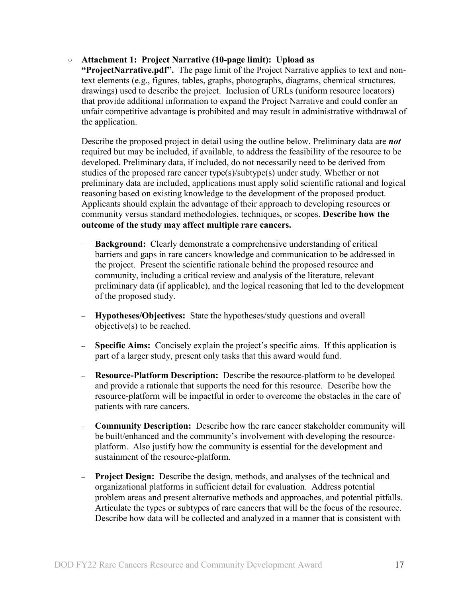#### ○ **Attachment 1: Project Narrative (10-page limit): Upload as**

**"ProjectNarrative.pdf".** The page limit of the Project Narrative applies to text and nontext elements (e.g., figures, tables, graphs, photographs, diagrams, chemical structures, drawings) used to describe the project. Inclusion of URLs (uniform resource locators) that provide additional information to expand the Project Narrative and could confer an unfair competitive advantage is prohibited and may result in administrative withdrawal of the application.

Describe the proposed project in detail using the outline below. Preliminary data are *not* required but may be included, if available, to address the feasibility of the resource to be developed. Preliminary data, if included, do not necessarily need to be derived from studies of the proposed rare cancer type(s)/subtype(s) under study. Whether or not preliminary data are included, applications must apply solid scientific rational and logical reasoning based on existing knowledge to the development of the proposed product. Applicants should explain the advantage of their approach to developing resources or community versus standard methodologies, techniques, or scopes. **Describe how the outcome of the study may affect multiple rare cancers.** 

- **Background:** Clearly demonstrate a comprehensive understanding of critical barriers and gaps in rare cancers knowledge and communication to be addressed in the project. Present the scientific rationale behind the proposed resource and community, including a critical review and analysis of the literature, relevant preliminary data (if applicable), and the logical reasoning that led to the development of the proposed study.
- **Hypotheses/Objectives:** State the hypotheses/study questions and overall objective(s) to be reached.
- **Specific Aims:** Concisely explain the project's specific aims. If this application is part of a larger study, present only tasks that this award would fund.
- **Resource-Platform Description:** Describe the resource-platform to be developed and provide a rationale that supports the need for this resource. Describe how the resource-platform will be impactful in order to overcome the obstacles in the care of patients with rare cancers.
- **Community Description:** Describe how the rare cancer stakeholder community will be built/enhanced and the community's involvement with developing the resourceplatform. Also justify how the community is essential for the development and sustainment of the resource-platform.
- **Project Design:** Describe the design, methods, and analyses of the technical and organizational platforms in sufficient detail for evaluation. Address potential problem areas and present alternative methods and approaches, and potential pitfalls. Articulate the types or subtypes of rare cancers that will be the focus of the resource. Describe how data will be collected and analyzed in a manner that is consistent with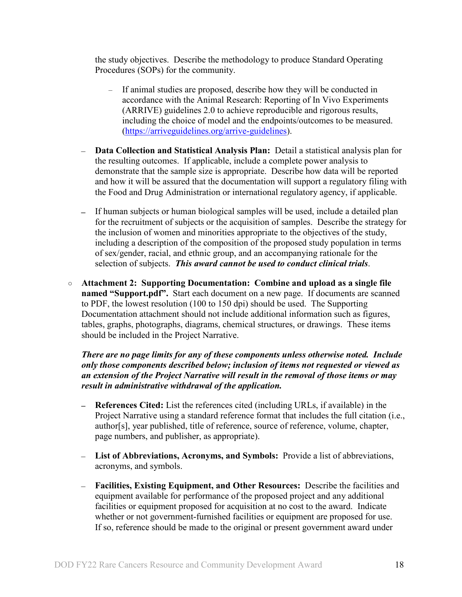the study objectives. Describe the methodology to produce Standard Operating Procedures (SOPs) for the community.

- If animal studies are proposed, describe how they will be conducted in accordance with the Animal Research: Reporting of In Vivo Experiments (ARRIVE) guidelines 2.0 to achieve reproducible and rigorous results, including the choice of model and the endpoints/outcomes to be measured. [\(https://arriveguidelines.org/arrive-guidelines\)](https://arriveguidelines.org/arrive-guidelines).
- **Data Collection and Statistical Analysis Plan:** Detail a statistical analysis plan for the resulting outcomes. If applicable, include a complete power analysis to demonstrate that the sample size is appropriate. Describe how data will be reported and how it will be assured that the documentation will support a regulatory filing with the Food and Drug Administration or international regulatory agency, if applicable.
- If human subjects or human biological samples will be used, include a detailed plan for the recruitment of subjects or the acquisition of samples. Describe the strategy for the inclusion of women and minorities appropriate to the objectives of the study, including a description of the composition of the proposed study population in terms of sex/gender, racial, and ethnic group, and an accompanying rationale for the selection of subjects. *This award cannot be used to conduct clinical trials*.
- **Attachment 2: Supporting Documentation: Combine and upload as a single file named "Support.pdf".** Start each document on a new page. If documents are scanned to PDF, the lowest resolution (100 to 150 dpi) should be used. The Supporting Documentation attachment should not include additional information such as figures, tables, graphs, photographs, diagrams, chemical structures, or drawings. These items should be included in the Project Narrative.

*There are no page limits for any of these components unless otherwise noted. Include only those components described below; inclusion of items not requested or viewed as an extension of the Project Narrative will result in the removal of those items or may result in administrative withdrawal of the application.*

- **References Cited:** List the references cited (including URLs, if available) in the  $\equiv$   $\equiv$ Project Narrative using a standard reference format that includes the full citation (i.e., author[s], year published, title of reference, source of reference, volume, chapter, page numbers, and publisher, as appropriate).
- **List of Abbreviations, Acronyms, and Symbols:** Provide a list of abbreviations, acronyms, and symbols.
- **Facilities, Existing Equipment, and Other Resources:** Describe the facilities and equipment available for performance of the proposed project and any additional facilities or equipment proposed for acquisition at no cost to the award. Indicate whether or not government-furnished facilities or equipment are proposed for use. If so, reference should be made to the original or present government award under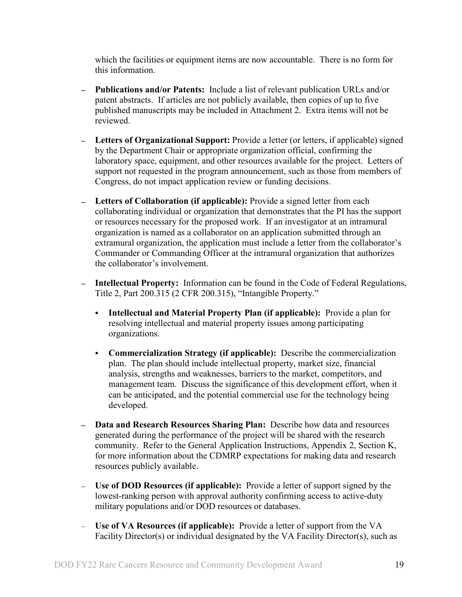which the facilities or equipment items are now accountable. There is no form for this information.

- **Publications and/or Patents:** Include a list of relevant publication URLs and/or patent abstracts. If articles are not publicly available, then copies of up to five published manuscripts may be included in Attachment 2. Extra items will not be reviewed.
- **Letters of Organizational Support:** Provide a letter (or letters, if applicable) signed by the Department Chair or appropriate organization official, confirming the laboratory space, equipment, and other resources available for the project. Letters of support not requested in the program announcement, such as those from members of Congress, do not impact application review or funding decisions.
- **Letters of Collaboration (if applicable):** Provide a signed letter from each collaborating individual or organization that demonstrates that the PI has the support or resources necessary for the proposed work. If an investigator at an intramural organization is named as a collaborator on an application submitted through an extramural organization, the application must include a letter from the collaborator's Commander or Commanding Officer at the intramural organization that authorizes the collaborator's involvement.
- **Intellectual Property:** Information can be found in the Code of Federal Regulations, Title 2, Part 200.315 (2 CFR 200.315), "Intangible Property."
	- **Intellectual and Material Property Plan (if applicable):** Provide a plan for resolving intellectual and material property issues among participating organizations.
	- **Commercialization Strategy (if applicable):** Describe the commercialization plan. The plan should include intellectual property, market size, financial analysis, strengths and weaknesses, barriers to the market, competitors, and management team. Discuss the significance of this development effort, when it can be anticipated, and the potential commercial use for the technology being developed.
- **Data and Research Resources Sharing Plan:** Describe how data and resources generated during the performance of the project will be shared with the research community. Refer to the General Application Instructions, Appendix 2, Section K, for more information about the CDMRP expectations for making data and research resources publicly available.
- **Use of DOD Resources (if applicable):** Provide a letter of support signed by the lowest-ranking person with approval authority confirming access to active-duty military populations and/or DOD resources or databases.
- **Use of VA Resources (if applicable):** Provide a letter of support from the VA Facility Director(s) or individual designated by the VA Facility Director(s), such as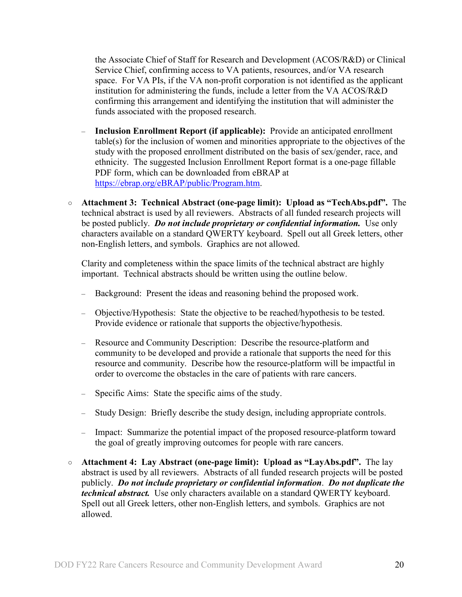the Associate Chief of Staff for Research and Development (ACOS/R&D) or Clinical Service Chief, confirming access to VA patients, resources, and/or VA research space. For VA PIs, if the VA non-profit corporation is not identified as the applicant institution for administering the funds, include a letter from the VA ACOS/R&D confirming this arrangement and identifying the institution that will administer the funds associated with the proposed research.

- **Inclusion Enrollment Report (if applicable):** Provide an anticipated enrollment table(s) for the inclusion of women and minorities appropriate to the objectives of the study with the proposed enrollment distributed on the basis of sex/gender, race, and ethnicity. The suggested Inclusion Enrollment Report format is a one-page fillable PDF form, which can be downloaded from eBRAP at [https://ebrap.org/eBRAP/public/Program.htm.](https://ebrap.org/eBRAP/public/Program.htm)
- **Attachment 3: Technical Abstract (one-page limit): Upload as "TechAbs.pdf".** The technical abstract is used by all reviewers. Abstracts of all funded research projects will be posted publicly. *Do not include proprietary or confidential information*. Use only characters available on a standard QWERTY keyboard. Spell out all Greek letters, other non-English letters, and symbols. Graphics are not allowed.

Clarity and completeness within the space limits of the technical abstract are highly important. Technical abstracts should be written using the outline below.

- Background: Present the ideas and reasoning behind the proposed work.
- Objective/Hypothesis: State the objective to be reached/hypothesis to be tested. Provide evidence or rationale that supports the objective/hypothesis.
- Resource and Community Description: Describe the resource-platform and community to be developed and provide a rationale that supports the need for this resource and community. Describe how the resource-platform will be impactful in order to overcome the obstacles in the care of patients with rare cancers.
- Specific Aims: State the specific aims of the study.
- Study Design: Briefly describe the study design, including appropriate controls.
- Impact: Summarize the potential impact of the proposed resource-platform toward the goal of greatly improving outcomes for people with rare cancers.
- **Attachment 4: Lay Abstract (one-page limit): Upload as "LayAbs.pdf".** The lay abstract is used by all reviewers. Abstracts of all funded research projects will be posted publicly. *Do not include proprietary or confidential information*. *Do not duplicate the technical abstract.* Use only characters available on a standard QWERTY keyboard. Spell out all Greek letters, other non-English letters, and symbols. Graphics are not allowed.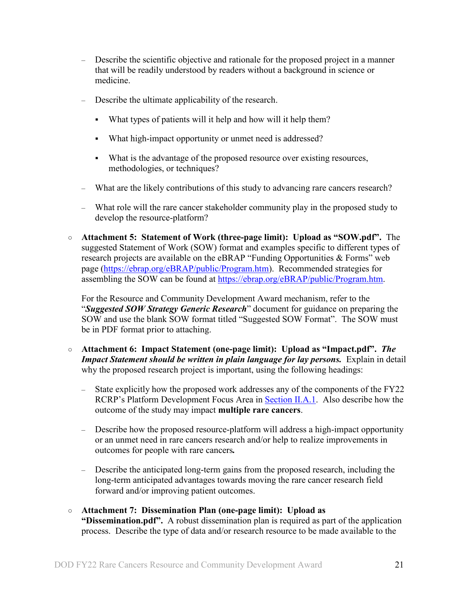- Describe the scientific objective and rationale for the proposed project in a manner that will be readily understood by readers without a background in science or medicine.
- Describe the ultimate applicability of the research.
	- What types of patients will it help and how will it help them?
	- What high-impact opportunity or unmet need is addressed?
	- What is the advantage of the proposed resource over existing resources, methodologies, or techniques?
- What are the likely contributions of this study to advancing rare cancers research?
- What role will the rare cancer stakeholder community play in the proposed study to develop the resource-platform?
- **Attachment 5: Statement of Work (three-page limit): Upload as "SOW.pdf".** The suggested Statement of Work (SOW) format and examples specific to different types of research projects are available on the eBRAP "Funding Opportunities & Forms" web page [\(https://ebrap.org/eBRAP/public/Program.htm\)](https://ebrap.org/eBRAP/public/Program.htm). Recommended strategies for assembling the SOW can be found at [https://ebrap.org/eBRAP/public/Program.htm.](https://ebrap.org/eBRAP/public/Program.htm)

For the Resource and Community Development Award mechanism, refer to the "*Suggested SOW Strategy Generic Research*" document for guidance on preparing the SOW and use the blank SOW format titled "Suggested SOW Format". The SOW must be in PDF format prior to attaching.

- **Attachment 6: Impact Statement (one-page limit): Upload as "Impact.pdf".** *The Impact Statement should be written in plain language for lay persons.* Explain in detail why the proposed research project is important, using the following headings:
	- State explicitly how the proposed work addresses any of the components of the FY22 RCRP's Platform Development Focus Area in [Section II.A.1.](#page-2-2) Also describe how the outcome of the study may impact **multiple rare cancers**.
	- Describe how the proposed resource-platform will address a high-impact opportunity or an unmet need in rare cancers research and/or help to realize improvements in outcomes for people with rare cancers*.*
	- Describe the anticipated long-term gains from the proposed research, including the long-term anticipated advantages towards moving the rare cancer research field forward and/or improving patient outcomes.

#### ○ **Attachment 7: Dissemination Plan (one-page limit): Upload as "Dissemination.pdf".** A robust dissemination plan is required as part of the application process. Describe the type of data and/or research resource to be made available to the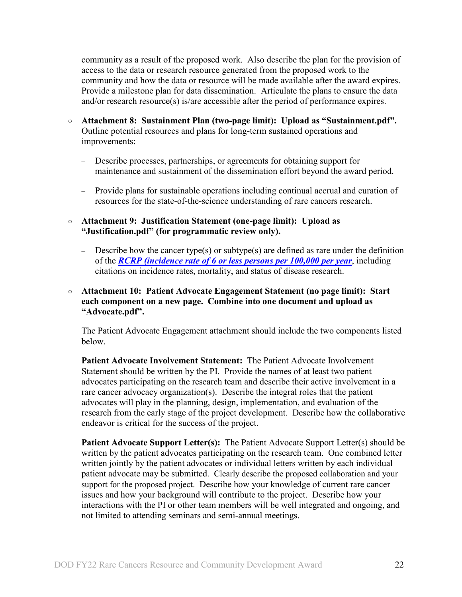community as a result of the proposed work. Also describe the plan for the provision of access to the data or research resource generated from the proposed work to the community and how the data or resource will be made available after the award expires. Provide a milestone plan for data dissemination. Articulate the plans to ensure the data and/or research resource(s) is/are accessible after the period of performance expires.

- **Attachment 8: Sustainment Plan (two-page limit): Upload as "Sustainment.pdf".**  Outline potential resources and plans for long-term sustained operations and improvements:
	- Describe processes, partnerships, or agreements for obtaining support for maintenance and sustainment of the dissemination effort beyond the award period.
	- Provide plans for sustainable operations including continual accrual and curation of resources for the state-of-the-science understanding of rare cancers research.
- **Attachment 9: Justification Statement (one-page limit): Upload as "Justification.pdf" (for programmatic review only).**
	- Describe how the cancer type(s) or subtype(s) are defined as rare under the definition of the *[RCRP \(incidence rate of 6 or less persons per 100,000 per year](#page-2-4)*, including citations on incidence rates, mortality, and status of disease research.

#### ○ **Attachment 10: Patient Advocate Engagement Statement (no page limit): Start each component on a new page. Combine into one document and upload as "Advocate.pdf".**

The Patient Advocate Engagement attachment should include the two components listed below.

**Patient Advocate Involvement Statement:** The Patient Advocate Involvement Statement should be written by the PI. Provide the names of at least two patient advocates participating on the research team and describe their active involvement in a rare cancer advocacy organization(s). Describe the integral roles that the patient advocates will play in the planning, design, implementation, and evaluation of the research from the early stage of the project development. Describe how the collaborative endeavor is critical for the success of the project.

**Patient Advocate Support Letter(s):** The Patient Advocate Support Letter(s) should be written by the patient advocates participating on the research team. One combined letter written jointly by the patient advocates or individual letters written by each individual patient advocate may be submitted. Clearly describe the proposed collaboration and your support for the proposed project. Describe how your knowledge of current rare cancer issues and how your background will contribute to the project. Describe how your interactions with the PI or other team members will be well integrated and ongoing, and not limited to attending seminars and semi-annual meetings.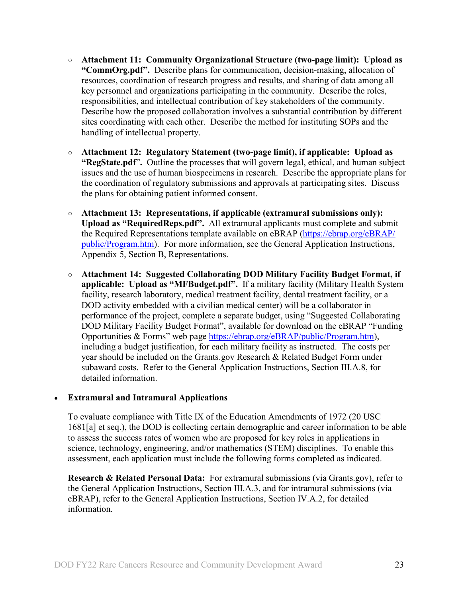- **Attachment 11: Community Organizational Structure (two-page limit): Upload as "CommOrg.pdf".** Describe plans for communication, decision-making, allocation of resources, coordination of research progress and results, and sharing of data among all key personnel and organizations participating in the community. Describe the roles, responsibilities, and intellectual contribution of key stakeholders of the community. Describe how the proposed collaboration involves a substantial contribution by different sites coordinating with each other. Describe the method for instituting SOPs and the handling of intellectual property.
- **Attachment 12: Regulatory Statement (two-page limit), if applicable: Upload as "RegState.pdf**"**.** Outline the processes that will govern legal, ethical, and human subject issues and the use of human biospecimens in research. Describe the appropriate plans for the coordination of regulatory submissions and approvals at participating sites. Discuss the plans for obtaining patient informed consent.
- **Attachment 13: Representations, if applicable (extramural submissions only): Upload as "RequiredReps.pdf".** All extramural applicants must complete and submit the Required Representations template available on eBRAP [\(https://ebrap.org/eBRAP/](https://ebrap.org/eBRAP/public/Program.htm) [public/Program.htm\)](https://ebrap.org/eBRAP/public/Program.htm). For more information, see the General Application Instructions, Appendix 5, Section B, Representations.
- <span id="page-22-1"></span>○ **Attachment 14: Suggested Collaborating DOD Military Facility Budget Format, if applicable: Upload as "MFBudget.pdf".** If a military facility (Military Health System facility, research laboratory, medical treatment facility, dental treatment facility, or a DOD activity embedded with a civilian medical center) will be a collaborator in performance of the project, complete a separate budget, using "Suggested Collaborating DOD Military Facility Budget Format", available for download on the eBRAP "Funding Opportunities & Forms" web page [https://ebrap.org/eBRAP/public/Program.htm\)](https://ebrap.org/eBRAP/public/Program.htm), including a budget justification, for each military facility as instructed. The costs per year should be included on the Grants.gov Research & Related Budget Form under subaward costs. Refer to the General Application Instructions, Section III.A.8, for detailed information.

## • **Extramural and Intramural Applications**

To evaluate compliance with Title IX of the Education Amendments of 1972 (20 USC 1681[a] et seq.), the DOD is collecting certain demographic and career information to be able to assess the success rates of women who are proposed for key roles in applications in science, technology, engineering, and/or mathematics (STEM) disciplines. To enable this assessment, each application must include the following forms completed as indicated.

<span id="page-22-0"></span>**Research & Related Personal Data:** For extramural submissions (via Grants.gov), refer to the General Application Instructions, Section III.A.3, and for intramural submissions (via eBRAP), refer to the General Application Instructions, Section IV.A.2, for detailed information.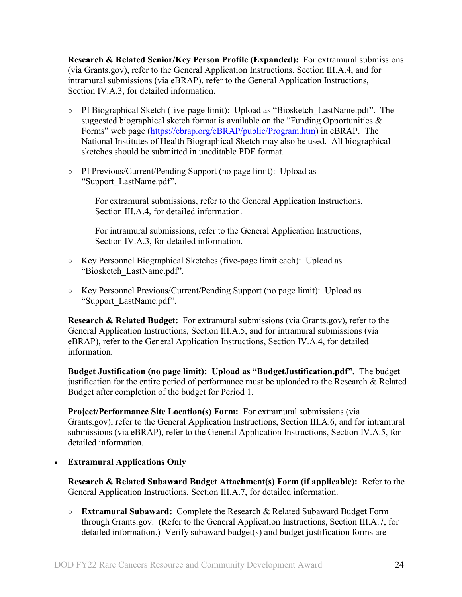<span id="page-23-0"></span>**Research & Related Senior/Key Person Profile (Expanded):** For extramural submissions (via Grants.gov), refer to the General Application Instructions, Section III.A.4, and for intramural submissions (via eBRAP), refer to the General Application Instructions, Section IV.A.3, for detailed information.

- PI Biographical Sketch (five-page limit): Upload as "Biosketch\_LastName.pdf". The suggested biographical sketch format is available on the "Funding Opportunities  $\&$ Forms" web page [\(https://ebrap.org/eBRAP/public/Program.htm\)](https://ebrap.org/eBRAP/public/Program.htm) in eBRAP. The National Institutes of Health Biographical Sketch may also be used. All biographical sketches should be submitted in uneditable PDF format.
- PI Previous/Current/Pending Support (no page limit): Upload as "Support\_LastName.pdf".
	- For extramural submissions, refer to the General Application Instructions, Section III.A.4, for detailed information.
	- For intramural submissions, refer to the General Application Instructions, Section IV.A.3, for detailed information.
- Key Personnel Biographical Sketches (five-page limit each): Upload as "Biosketch\_LastName.pdf".
- Key Personnel Previous/Current/Pending Support (no page limit): Upload as "Support\_LastName.pdf".

<span id="page-23-1"></span>**Research & Related Budget:** For extramural submissions (via Grants.gov), refer to the General Application Instructions, Section III.A.5, and for intramural submissions (via eBRAP), refer to the General Application Instructions, Section IV.A.4, for detailed information.

**Budget Justification (no page limit): Upload as "BudgetJustification.pdf".** The budget justification for the entire period of performance must be uploaded to the Research & Related Budget after completion of the budget for Period 1.

<span id="page-23-2"></span>**Project/Performance Site Location(s) Form:** For extramural submissions (via Grants.gov), refer to the General Application Instructions, Section III.A.6, and for intramural submissions (via eBRAP), refer to the General Application Instructions, Section IV.A.5, for detailed information.

## • **Extramural Applications Only**

<span id="page-23-3"></span>**Research & Related Subaward Budget Attachment(s) Form (if applicable):** Refer to the General Application Instructions, Section III.A.7, for detailed information.

○ **Extramural Subaward:** Complete the Research & Related Subaward Budget Form through Grants.gov. (Refer to the General Application Instructions, Section III.A.7, for detailed information.) Verify subaward budget(s) and budget justification forms are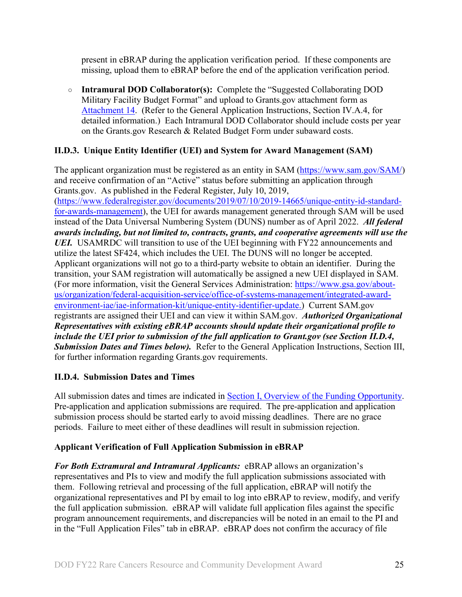present in eBRAP during the application verification period. If these components are missing, upload them to eBRAP before the end of the application verification period.

○ **Intramural DOD Collaborator(s):** Complete the "Suggested Collaborating DOD Military Facility Budget Format" and upload to Grants.gov attachment form as [Attachment 14.](#page-22-1) (Refer to the General Application Instructions, Section IV.A.4, for detailed information.) Each Intramural DOD Collaborator should include costs per year on the Grants.gov Research & Related Budget Form under subaward costs.

## <span id="page-24-0"></span>**II.D.3. Unique Entity Identifier (UEI) and System for Award Management (SAM)**

The applicant organization must be registered as an entity in SAM [\(https://www.sam.gov/SAM/\)](https://www.sam.gov/SAM/) and receive confirmation of an "Active" status before submitting an application through Grants.gov. As published in the Federal Register, July 10, 2019, [\(https://www.federalregister.gov/documents/2019/07/10/2019-14665/unique-entity-id-standard](https://www.federalregister.gov/documents/2019/07/10/2019-14665/unique-entity-id-standard-for-awards-management)[for-awards-management\)](https://www.federalregister.gov/documents/2019/07/10/2019-14665/unique-entity-id-standard-for-awards-management), the UEI for awards management generated through SAM will be used instead of the Data Universal Numbering System (DUNS) number as of April 2022. *All federal awards including, but not limited to, contracts, grants, and cooperative agreements will use the UEI.* USAMRDC will transition to use of the UEI beginning with FY22 announcements and utilize the latest SF424, which includes the UEI. The DUNS will no longer be accepted. Applicant organizations will not go to a third-party website to obtain an identifier. During the transition, your SAM registration will automatically be assigned a new UEI displayed in SAM. (For more information, visit the General Services Administration: [https://www.gsa.gov/about](https://www.gsa.gov/about-us/organization/federal-acquisition-service/office-of-systems-management/integrated-award-environment-iae/iae-information-kit/unique-entity-identifier-update)[us/organization/federal-acquisition-service/office-of-systems-management/integrated-award](https://www.gsa.gov/about-us/organization/federal-acquisition-service/office-of-systems-management/integrated-award-environment-iae/iae-information-kit/unique-entity-identifier-update)[environment-iae/iae-information-kit/unique-entity-identifier-update.](https://www.gsa.gov/about-us/organization/federal-acquisition-service/office-of-systems-management/integrated-award-environment-iae/iae-information-kit/unique-entity-identifier-update)) Current SAM.gov registrants are assigned their UEI and can view it within SAM.gov. *Authorized Organizational Representatives with existing eBRAP accounts should update their organizational profile to include the UEI prior to submission of the full application to Grant.gov (see Section II.D.4, Submission Dates and Times below).* Refer to the General Application Instructions, Section III, for further information regarding Grants.gov requirements.

## <span id="page-24-1"></span>**II.D.4. Submission Dates and Times**

All submission dates and times are indicated in [Section I, Overview of the Funding Opportunity.](#page-0-1) Pre-application and application submissions are required. The pre-application and application submission process should be started early to avoid missing deadlines. There are no grace periods. Failure to meet either of these deadlines will result in submission rejection.

## <span id="page-24-2"></span>**Applicant Verification of Full Application Submission in eBRAP**

*For Both Extramural and Intramural Applicants:* eBRAP allows an organization's representatives and PIs to view and modify the full application submissions associated with them. Following retrieval and processing of the full application, eBRAP will notify the organizational representatives and PI by email to log into eBRAP to review, modify, and verify the full application submission. eBRAP will validate full application files against the specific program announcement requirements, and discrepancies will be noted in an email to the PI and in the "Full Application Files" tab in eBRAP. eBRAP does not confirm the accuracy of file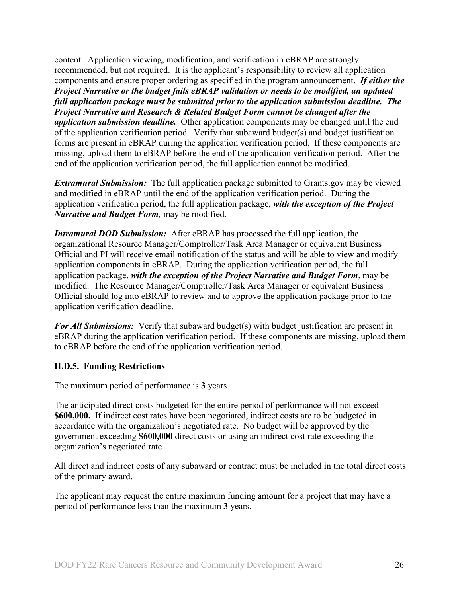content. Application viewing, modification, and verification in eBRAP are strongly recommended, but not required. It is the applicant's responsibility to review all application components and ensure proper ordering as specified in the program announcement. *If either the Project Narrative or the budget fails eBRAP validation or needs to be modified, an updated full application package must be submitted prior to the application submission deadline. The Project Narrative and Research & Related Budget Form cannot be changed after the application submission deadline.* Other application components may be changed until the end of the [application verification period.](#page-0-0) Verify that subaward budget(s) and budget justification forms are present in eBRAP during the application verification period. If these components are missing, upload them to eBRAP before the end of the application verification period. After the end of the application verification period, the full application cannot be modified.

*Extramural Submission:* The full application package submitted to Grants.gov may be viewed and modified in eBRAP until the end of the application verification period. During the application verification period, the full application package, *with the exception of the Project Narrative and Budget Form,* may be modified.

*Intramural DOD Submission:* After eBRAP has processed the full application, the organizational Resource Manager/Comptroller/Task Area Manager or equivalent Business Official and PI will receive email notification of the status and will be able to view and modify application components in eBRAP. During the application verification period, the full application package, *with the exception of the Project Narrative and Budget Form*, may be modified. The Resource Manager/Comptroller/Task Area Manager or equivalent Business Official should log into eBRAP to review and to approve the application package prior to the application verification deadline.

*For All Submissions:* Verify that subaward budget(s) with budget justification are present in eBRAP during the application verification period. If these components are missing, upload them to eBRAP before the end of the application verification period.

#### <span id="page-25-0"></span>**II.D.5. Funding Restrictions**

The maximum period of performance is **3** years.

The anticipated direct costs budgeted for the entire period of performance will not exceed **\$600,000.** If indirect cost rates have been negotiated, indirect costs are to be budgeted in accordance with the organization's negotiated rate. No budget will be approved by the government exceeding **\$600,000** direct costs or using an indirect cost rate exceeding the organization's negotiated rate

All direct and indirect costs of any subaward or contract must be included in the total direct costs of the primary award.

The applicant may request the entire maximum funding amount for a project that may have a period of performance less than the maximum **3** years.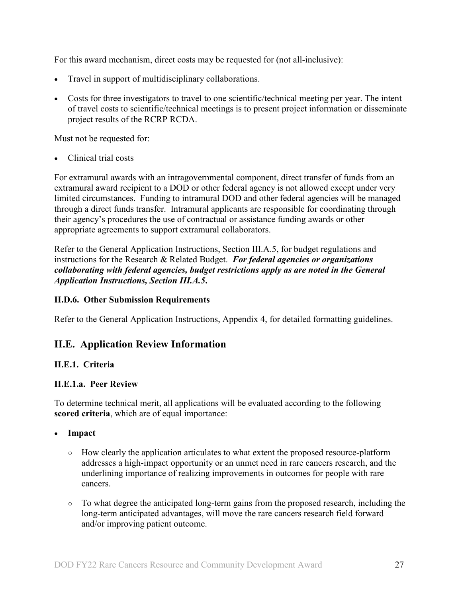For this award mechanism, direct costs may be requested for (not all-inclusive):

- Travel in support of multidisciplinary collaborations.
- Costs for three investigators to travel to one scientific/technical meeting per year. The intent of travel costs to scientific/technical meetings is to present project information or disseminate project results of the RCRP RCDA.

Must not be requested for:

• Clinical trial costs

For extramural awards with an intragovernmental component, direct transfer of funds from an extramural award recipient to a DOD or other federal agency is not allowed except under very limited circumstances. Funding to intramural DOD and other federal agencies will be managed through a direct funds transfer. Intramural applicants are responsible for coordinating through their agency's procedures the use of contractual or assistance funding awards or other appropriate agreements to support extramural collaborators.

Refer to the General Application Instructions, Section III.A.5, for budget regulations and instructions for the Research & Related Budget. *For federal agencies or organizations collaborating with federal agencies, budget restrictions apply as are noted in the General Application Instructions, Section III.A.5***.**

#### <span id="page-26-0"></span>**II.D.6. Other Submission Requirements**

Refer to the General Application Instructions, Appendix 4, for detailed formatting guidelines.

## <span id="page-26-1"></span>**II.E. Application Review Information**

## <span id="page-26-2"></span>**II.E.1. Criteria**

#### **II.E.1.a. Peer Review**

To determine technical merit, all applications will be evaluated according to the following **scored criteria**, which are of equal importance:

- **Impact**
	- How clearly the application articulates to what extent the proposed resource-platform addresses a high-impact opportunity or an unmet need in rare cancers research, and the underlining importance of realizing improvements in outcomes for people with rare cancers.
	- To what degree the anticipated long-term gains from the proposed research, including the long-term anticipated advantages, will move the rare cancers research field forward and/or improving patient outcome.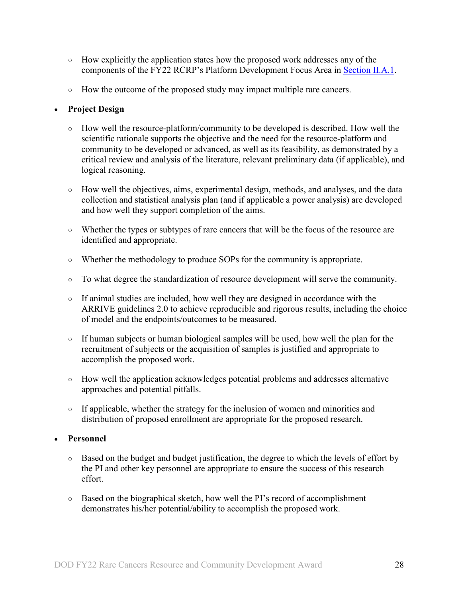- How explicitly the application states how the proposed work addresses any of the components of the FY22 RCRP's Platform Development Focus Area in [Section II.A.1.](#page-2-2)
- How the outcome of the proposed study may impact multiple rare cancers.

## • **Project Design**

- How well the resource-platform/community to be developed is described. How well the scientific rationale supports the objective and the need for the resource-platform and community to be developed or advanced, as well as its feasibility, as demonstrated by a critical review and analysis of the literature, relevant preliminary data (if applicable), and logical reasoning.
- How well the objectives, aims, experimental design, methods, and analyses, and the data collection and statistical analysis plan (and if applicable a power analysis) are developed and how well they support completion of the aims.
- Whether the types or subtypes of rare cancers that will be the focus of the resource are identified and appropriate.
- Whether the methodology to produce SOPs for the community is appropriate.
- To what degree the standardization of resource development will serve the community.
- If animal studies are included, how well they are designed in accordance with the ARRIVE guidelines 2.0 to achieve reproducible and rigorous results, including the choice of model and the endpoints/outcomes to be measured.
- If human subjects or human biological samples will be used, how well the plan for the recruitment of subjects or the acquisition of samples is justified and appropriate to accomplish the proposed work.
- How well the application acknowledges potential problems and addresses alternative approaches and potential pitfalls.
- If applicable, whether the strategy for the inclusion of women and minorities and distribution of proposed enrollment are appropriate for the proposed research.

## • **Personnel**

- Based on the budget and budget justification, the degree to which the levels of effort by the PI and other key personnel are appropriate to ensure the success of this research effort.
- Based on the biographical sketch, how well the PI's record of accomplishment demonstrates his/her potential/ability to accomplish the proposed work.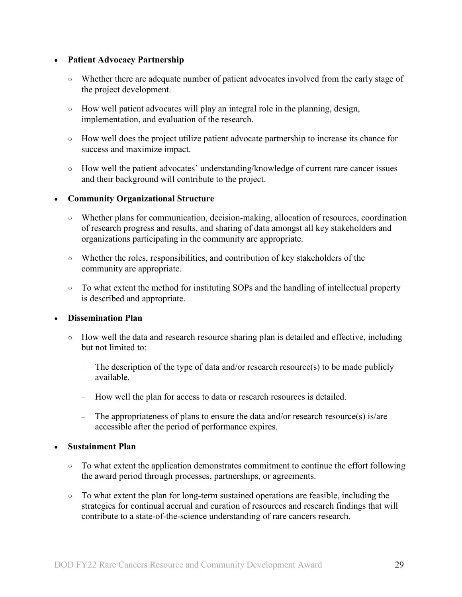#### • **Patient Advocacy Partnership**

- Whether there are adequate number of patient advocates involved from the early stage of the project development.
- How well patient advocates will play an integral role in the planning, design, implementation, and evaluation of the research.
- How well does the project utilize patient advocate partnership to increase its chance for success and maximize impact.
- How well the patient advocates' understanding/knowledge of current rare cancer issues and their background will contribute to the project.

#### • **Community Organizational Structure**

- Whether plans for communication, decision-making, allocation of resources, coordination of research progress and results, and sharing of data amongst all key stakeholders and organizations participating in the community are appropriate.
- Whether the roles, responsibilities, and contribution of key stakeholders of the community are appropriate.
- To what extent the method for instituting SOPs and the handling of intellectual property is described and appropriate.

## • **Dissemination Plan**

- How well the data and research resource sharing plan is detailed and effective, including but not limited to:
	- The description of the type of data and/or research resource(s) to be made publicly available.
	- How well the plan for access to data or research resources is detailed.
	- The appropriateness of plans to ensure the data and/or research resource(s) is/are accessible after the period of performance expires.

#### • **Sustainment Plan**

- To what extent the application demonstrates commitment to continue the effort following the award period through processes, partnerships, or agreements.
- To what extent the plan for long-term sustained operations are feasible, including the strategies for continual accrual and curation of resources and research findings that will contribute to a state-of-the-science understanding of rare cancers research.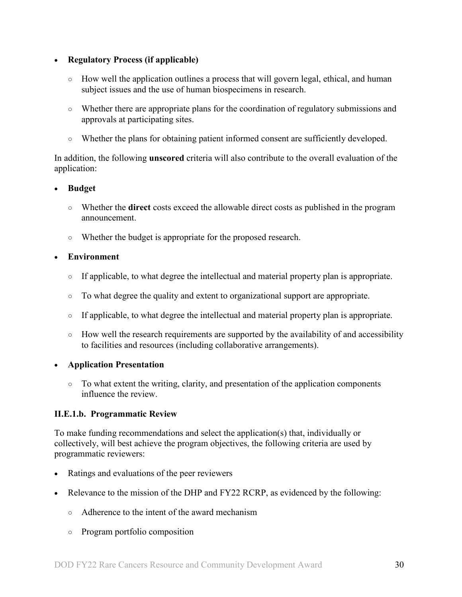## • **Regulatory Process (if applicable)**

- How well the application outlines a process that will govern legal, ethical, and human subject issues and the use of human biospecimens in research.
- Whether there are appropriate plans for the coordination of regulatory submissions and approvals at participating sites.
- Whether the plans for obtaining patient informed consent are sufficiently developed.

In addition, the following **unscored** criteria will also contribute to the overall evaluation of the application:

## • **Budget**

- Whether the **direct** costs exceed the allowable direct costs as published in the program announcement.
- Whether the budget is appropriate for the proposed research.

## • **Environment**

- If applicable, to what degree the intellectual and material property plan is appropriate.
- To what degree the quality and extent to organizational support are appropriate.
- If applicable, to what degree the intellectual and material property plan is appropriate.
- How well the research requirements are supported by the availability of and accessibility to facilities and resources (including collaborative arrangements).

## • **Application Presentation**

○ To what extent the writing, clarity, and presentation of the application components influence the review.

## <span id="page-29-0"></span>**II.E.1.b. Programmatic Review**

To make funding recommendations and select the application(s) that, individually or collectively, will best achieve the program objectives, the following criteria are used by programmatic reviewers:

- Ratings and evaluations of the peer reviewers
- Relevance to the mission of the DHP and FY22 RCRP, as evidenced by the following:
	- Adherence to the intent of the award mechanism
	- Program portfolio composition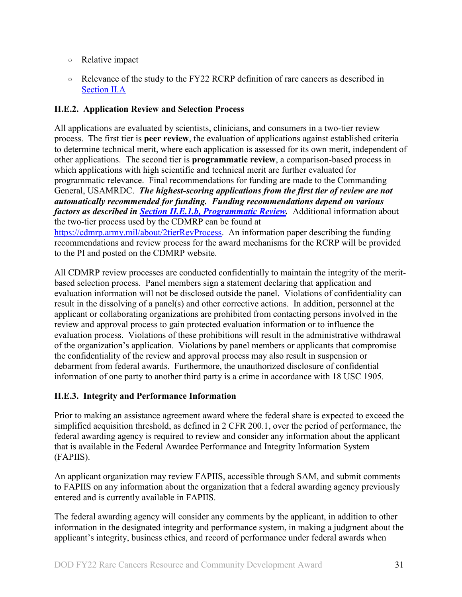- Relative impact
- Relevance of the study to the FY22 RCRP definition of rare cancers as described in [Section II.A](#page-2-4)

## <span id="page-30-0"></span>**II.E.2. Application Review and Selection Process**

All applications are evaluated by scientists, clinicians, and consumers in a two-tier review process. The first tier is **peer review**, the evaluation of applications against established criteria to determine technical merit, where each application is assessed for its own merit, independent of other applications. The second tier is **programmatic review**, a comparison-based process in which applications with high scientific and technical merit are further evaluated for programmatic relevance. Final recommendations for funding are made to the Commanding General, USAMRDC. *The highest-scoring applications from the first tier of review are not automatically recommended for funding. Funding recommendations depend on various factors as described in Section [II.E.1.b, Programmatic Review.](#page-29-0)* Additional information about the two-tier process used by the CDMRP can be found at [https://cdmrp.army.mil/about/2tierRevProcess.](http://cdmrp.army.mil/about/2tierRevProcess) An information paper describing the funding recommendations and review process for the award mechanisms for the RCRP will be provided to the PI and posted on the CDMRP website.

All CDMRP review processes are conducted confidentially to maintain the integrity of the meritbased selection process. Panel members sign a statement declaring that application and evaluation information will not be disclosed outside the panel. Violations of confidentiality can result in the dissolving of a panel(s) and other corrective actions. In addition, personnel at the applicant or collaborating organizations are prohibited from contacting persons involved in the review and approval process to gain protected evaluation information or to influence the evaluation process. Violations of these prohibitions will result in the administrative withdrawal of the organization's application. Violations by panel members or applicants that compromise the confidentiality of the review and approval process may also result in suspension or debarment from federal awards. Furthermore, the unauthorized disclosure of confidential information of one party to another third party is a crime in accordance with 18 USC 1905.

## <span id="page-30-1"></span>**II.E.3. Integrity and Performance Information**

Prior to making an assistance agreement award where the federal share is expected to exceed the simplified acquisition threshold, as defined in 2 CFR 200.1, over the period of performance, the federal awarding agency is required to review and consider any information about the applicant that is available in the Federal Awardee Performance and Integrity Information System (FAPIIS).

An applicant organization may review FAPIIS, accessible through SAM, and submit comments to FAPIIS on any information about the organization that a federal awarding agency previously entered and is currently available in FAPIIS.

The federal awarding agency will consider any comments by the applicant, in addition to other information in the designated integrity and performance system, in making a judgment about the applicant's integrity, business ethics, and record of performance under federal awards when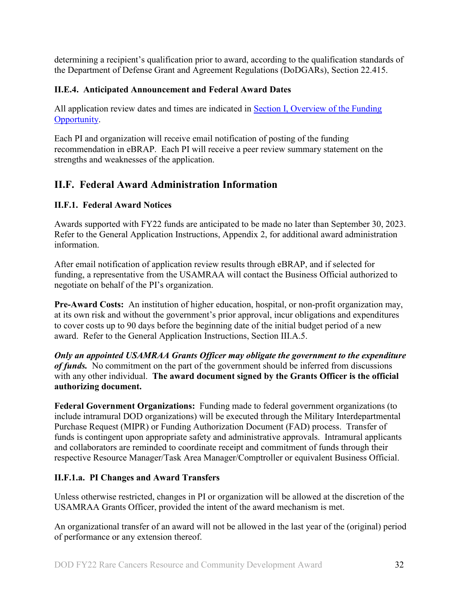determining a recipient's qualification prior to award, according to the qualification standards of the Department of Defense Grant and Agreement Regulations (DoDGARs), Section 22.415.

## <span id="page-31-0"></span>**II.E.4. Anticipated Announcement and Federal Award Dates**

All application review dates and times are indicated in **Section I**, Overview of the Funding [Opportunity.](#page-0-1)

Each PI and organization will receive email notification of posting of the funding recommendation in eBRAP. Each PI will receive a peer review summary statement on the strengths and weaknesses of the application.

## <span id="page-31-1"></span>**II.F. Federal Award Administration Information**

## <span id="page-31-2"></span>**II.F.1. Federal Award Notices**

Awards supported with FY22 funds are anticipated to be made no later than September 30, 2023. Refer to the General Application Instructions, Appendix 2, for additional award administration information.

After email notification of application review results through eBRAP, and if selected for funding, a representative from the USAMRAA will contact the Business Official authorized to negotiate on behalf of the PI's organization.

**Pre-Award Costs:** An institution of higher education, hospital, or non-profit organization may, at its own risk and without the government's prior approval, incur obligations and expenditures to cover costs up to 90 days before the beginning date of the initial budget period of a new award. Refer to the General Application Instructions, Section III.A.5.

*Only an appointed USAMRAA Grants Officer may obligate the government to the expenditure of funds.* No commitment on the part of the government should be inferred from discussions with any other individual. **The award document signed by the Grants Officer is the official authorizing document.**

Federal Government Organizations: Funding made to federal government organizations (to include intramural DOD organizations) will be executed through the Military Interdepartmental Purchase Request (MIPR) or Funding Authorization Document (FAD) process. Transfer of funds is contingent upon appropriate safety and administrative approvals. Intramural applicants and collaborators are reminded to coordinate receipt and commitment of funds through their respective Resource Manager/Task Area Manager/Comptroller or equivalent Business Official.

## **II.F.1.a. PI Changes and Award Transfers**

Unless otherwise restricted, changes in PI or organization will be allowed at the discretion of the USAMRAA Grants Officer, provided the intent of the award mechanism is met.

An organizational transfer of an award will not be allowed in the last year of the (original) period of performance or any extension thereof.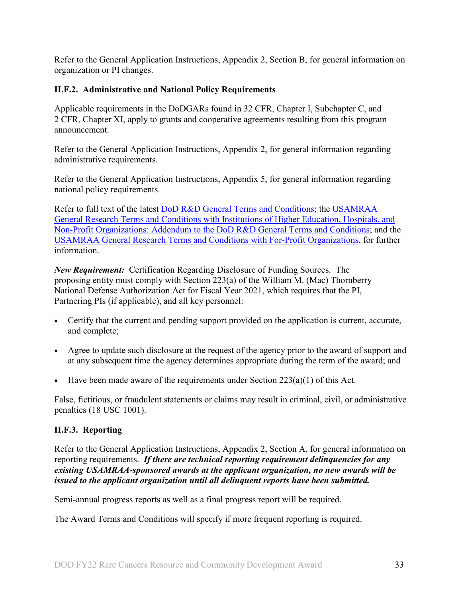Refer to the General Application Instructions, Appendix 2, Section B, for general information on organization or PI changes.

## <span id="page-32-0"></span>**II.F.2. Administrative and National Policy Requirements**

Applicable requirements in the DoDGARs found in 32 CFR, Chapter I, Subchapter C, and 2 CFR, Chapter XI, apply to grants and cooperative agreements resulting from this program announcement.

Refer to the General Application Instructions, Appendix 2, for general information regarding administrative requirements.

Refer to the General Application Instructions, Appendix 5, for general information regarding national policy requirements.

Refer to full text of the latest **DoD R&D General Terms and Conditions**; the USAMRAA [General Research Terms and Conditions with Institutions of Higher Education, Hospitals, and](https://www.usamraa.army.mil/Pages/Resources.aspx)  Non-Profit [Organizations: Addendum to the DoD](https://www.usamraa.army.mil/Pages/Resources.aspx) R&D General Terms and Conditions; and the [USAMRAA General Research Terms and Conditions with For-Profit Organizations,](https://www.usamraa.army.mil/Pages/Resources.aspx) for further information.

*New Requirement:* Certification Regarding Disclosure of Funding Sources. The proposing entity must comply with Section 223(a) of the William M. (Mac) Thornberry National Defense Authorization Act for Fiscal Year 2021, which requires that the PI, Partnering PIs (if applicable), and all key personnel:

- Certify that the current and pending support provided on the application is current, accurate, and complete;
- Agree to update such disclosure at the request of the agency prior to the award of support and at any subsequent time the agency determines appropriate during the term of the award; and
- Have been made aware of the requirements under Section  $223(a)(1)$  of this Act.

False, fictitious, or fraudulent statements or claims may result in criminal, civil, or administrative penalties (18 USC 1001).

## <span id="page-32-1"></span>**II.F.3. Reporting**

Refer to the General Application Instructions, Appendix 2, Section A, for general information on reporting requirements. *If there are technical reporting requirement delinquencies for any existing USAMRAA-sponsored awards at the applicant organization, no new awards will be issued to the applicant organization until all delinquent reports have been submitted.*

Semi-annual progress reports as well as a final progress report will be required.

The Award Terms and Conditions will specify if more frequent reporting is required.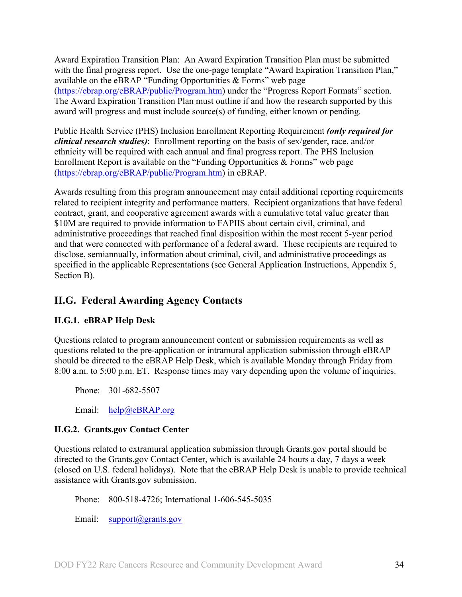Award Expiration Transition Plan: An Award Expiration Transition Plan must be submitted with the final progress report. Use the one-page template "Award Expiration Transition Plan," available on the eBRAP "Funding Opportunities  $\&$  Forms" web page [\(https://ebrap.org/eBRAP/public/Program.htm\)](https://ebrap.org/eBRAP/public/Program.htm) under the "Progress Report Formats" section. The Award Expiration Transition Plan must outline if and how the research supported by this award will progress and must include source(s) of funding, either known or pending.

Public Health Service (PHS) Inclusion Enrollment Reporting Requirement *(only required for clinical research studies)*: Enrollment reporting on the basis of sex/gender, race, and/or ethnicity will be required with each annual and final progress report. The PHS Inclusion Enrollment Report is available on the "Funding Opportunities & Forms" web page [\(https://ebrap.org/eBRAP/public/Program.htm\)](https://ebrap.org/eBRAP/public/Program.htm) in eBRAP.

Awards resulting from this program announcement may entail additional reporting requirements related to recipient integrity and performance matters. Recipient organizations that have federal contract, grant, and cooperative agreement awards with a cumulative total value greater than \$10M are required to provide information to FAPIIS about certain civil, criminal, and administrative proceedings that reached final disposition within the most recent 5-year period and that were connected with performance of a federal award. These recipients are required to disclose, semiannually, information about criminal, civil, and administrative proceedings as specified in the applicable Representations (see General Application Instructions, Appendix 5, Section B).

## <span id="page-33-0"></span>**II.G. Federal Awarding Agency Contacts**

## <span id="page-33-1"></span>**II.G.1. eBRAP Help Desk**

Questions related to program announcement content or submission requirements as well as questions related to the pre-application or intramural application submission through eBRAP should be directed to the eBRAP Help Desk, which is available Monday through Friday from 8:00 a.m. to 5:00 p.m. ET. Response times may vary depending upon the volume of inquiries.

Phone: 301-682-5507

Email: [help@eBRAP.org](mailto:help@eBRAP.org)

## <span id="page-33-2"></span>**II.G.2. Grants.gov Contact Center**

Questions related to extramural application submission through Grants.gov portal should be directed to the Grants.gov Contact Center, which is available 24 hours a day, 7 days a week (closed on U.S. federal holidays). Note that the eBRAP Help Desk is unable to provide technical assistance with Grants.gov submission.

Phone: 800-518-4726; International 1-606-545-5035

Email: [support@grants.gov](mailto:support@grants.gov)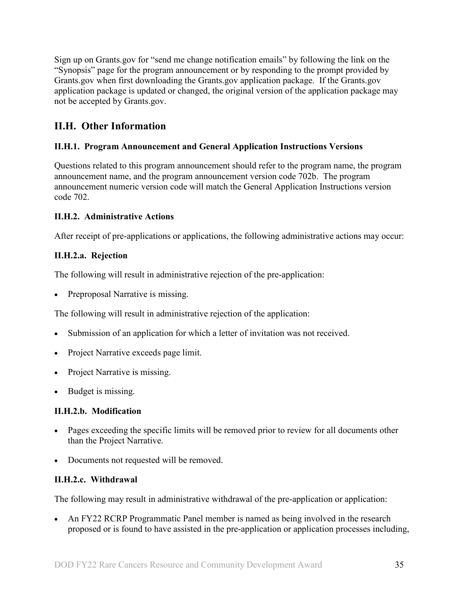Sign up on Grants.gov for "send me change notification emails" by following the link on the "Synopsis" page for the program announcement or by responding to the prompt provided by Grants.gov when first downloading the Grants.gov application package. If the Grants.gov application package is updated or changed, the original version of the application package may not be accepted by Grants.gov.

## <span id="page-34-0"></span>**II.H. Other Information**

## <span id="page-34-1"></span>**II.H.1. Program Announcement and General Application Instructions Versions**

Questions related to this program announcement should refer to the program name, the program announcement name, and the program announcement version code 702b. The program announcement numeric version code will match the General Application Instructions version code 702.

## <span id="page-34-2"></span>**II.H.2. Administrative Actions**

After receipt of pre-applications or applications, the following administrative actions may occur:

## **II.H.2.a. Rejection**

The following will result in administrative rejection of the pre-application:

• Preproposal Narrative is missing.

The following will result in administrative rejection of the application:

- Submission of an application for which a letter of invitation was not received.
- Project Narrative exceeds page limit.
- Project Narrative is missing.
- Budget is missing.

## **II.H.2.b. Modification**

- Pages exceeding the specific limits will be removed prior to review for all documents other than the Project Narrative.
- Documents not requested will be removed.

## <span id="page-34-3"></span>**II.H.2.c. Withdrawal**

The following may result in administrative withdrawal of the pre-application or application:

• An FY22 RCRP Programmatic Panel member is named as being involved in the research proposed or is found to have assisted in the pre-application or application processes including,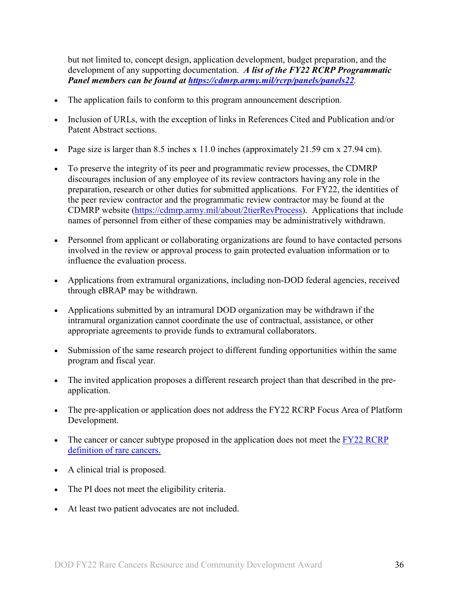but not limited to, concept design, application development, budget preparation, and the development of any supporting documentation. *A list of the FY22 RCRP Programmatic Panel members can be found at<https://cdmrp.army.mil/rcrp/panels/panels22>.*

- The application fails to conform to this program announcement description.
- Inclusion of URLs, with the exception of links in References Cited and Publication and/or Patent Abstract sections.
- Page size is larger than 8.5 inches x 11.0 inches (approximately 21.59 cm x 27.94 cm).
- To preserve the integrity of its peer and programmatic review processes, the CDMRP discourages inclusion of any employee of its review contractors having any role in the preparation, research or other duties for submitted applications. For FY22, the identities of the peer review contractor and the programmatic review contractor may be found at the CDMRP website [\(https://cdmrp.army.mil/about/2tierRevProcess\)](https://cdmrp.army.mil/about/2tierRevProcess). Applications that include names of personnel from either of these companies may be administratively withdrawn.
- Personnel from applicant or collaborating organizations are found to have contacted persons involved in the review or approval process to gain protected evaluation information or to influence the evaluation process.
- Applications from extramural organizations, including non-DOD federal agencies, received through eBRAP may be withdrawn.
- Applications submitted by an intramural DOD organization may be withdrawn if the intramural organization cannot coordinate the use of contractual, assistance, or other appropriate agreements to provide funds to extramural collaborators.
- Submission of the same research project to different funding opportunities within the same program and fiscal year.
- The invited application proposes a different research project than that described in the preapplication.
- The pre-application or application does not address the FY22 RCRP Focus Area of Platform Development.
- The cancer or cancer subtype proposed in the application does not meet the FY22 RCRP [definition of rare cancers.](#page-2-4)
- A clinical trial is proposed.
- The PI does not meet the eligibility criteria.
- At least two patient advocates are not included.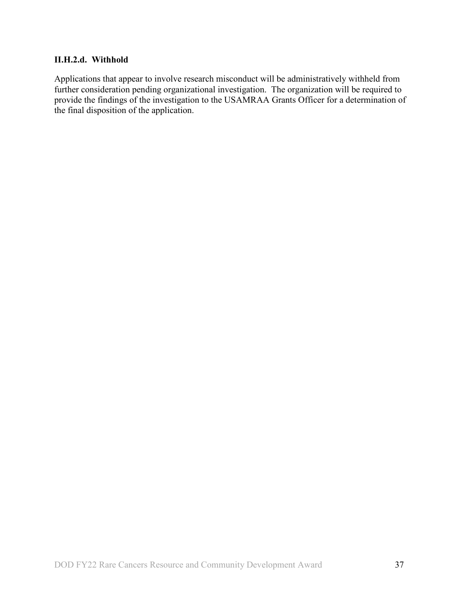#### **II.H.2.d. Withhold**

Applications that appear to involve research misconduct will be administratively withheld from further consideration pending organizational investigation. The organization will be required to provide the findings of the investigation to the USAMRAA Grants Officer for a determination of the final disposition of the application.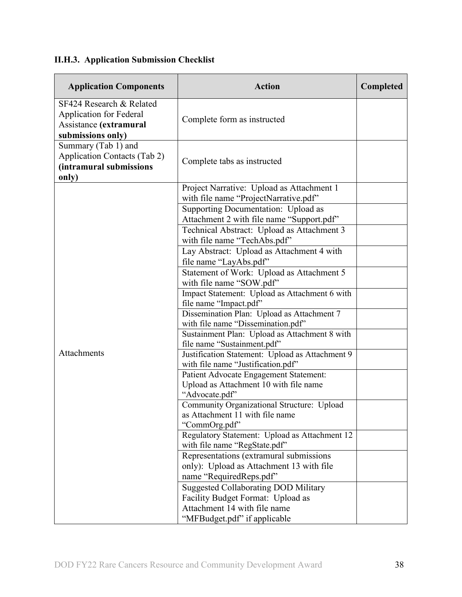# <span id="page-37-0"></span>**II.H.3. Application Submission Checklist**

| <b>Application Components</b>                                                                             | <b>Action</b>                                                                                                                                    | Completed |
|-----------------------------------------------------------------------------------------------------------|--------------------------------------------------------------------------------------------------------------------------------------------------|-----------|
| SF424 Research & Related<br><b>Application for Federal</b><br>Assistance (extramural<br>submissions only) | Complete form as instructed                                                                                                                      |           |
| Summary (Tab 1) and<br>Application Contacts (Tab 2)<br>(intramural submissions<br>only)                   | Complete tabs as instructed                                                                                                                      |           |
|                                                                                                           | Project Narrative: Upload as Attachment 1<br>with file name "ProjectNarrative.pdf"                                                               |           |
|                                                                                                           | Supporting Documentation: Upload as<br>Attachment 2 with file name "Support.pdf"<br>Technical Abstract: Upload as Attachment 3                   |           |
|                                                                                                           | with file name "TechAbs.pdf"<br>Lay Abstract: Upload as Attachment 4 with<br>file name "LayAbs.pdf"<br>Statement of Work: Upload as Attachment 5 |           |
|                                                                                                           | with file name "SOW.pdf"<br>Impact Statement: Upload as Attachment 6 with<br>file name "Impact.pdf"                                              |           |
|                                                                                                           | Dissemination Plan: Upload as Attachment 7<br>with file name "Dissemination.pdf"                                                                 |           |
|                                                                                                           | Sustainment Plan: Upload as Attachment 8 with<br>file name "Sustainment.pdf"                                                                     |           |
| Attachments                                                                                               | Justification Statement: Upload as Attachment 9<br>with file name "Justification.pdf"                                                            |           |
|                                                                                                           | Patient Advocate Engagement Statement:<br>Upload as Attachment 10 with file name<br>"Advocate.pdf"                                               |           |
|                                                                                                           | Community Organizational Structure: Upload<br>as Attachment 11 with file name<br>"CommOrg.pdf"                                                   |           |
|                                                                                                           | Regulatory Statement: Upload as Attachment 12<br>with file name "RegState.pdf"                                                                   |           |
|                                                                                                           | Representations (extramural submissions<br>only): Upload as Attachment 13 with file<br>name "RequiredReps.pdf"                                   |           |
|                                                                                                           | <b>Suggested Collaborating DOD Military</b><br>Facility Budget Format: Upload as<br>Attachment 14 with file name                                 |           |
|                                                                                                           | "MFBudget.pdf" if applicable                                                                                                                     |           |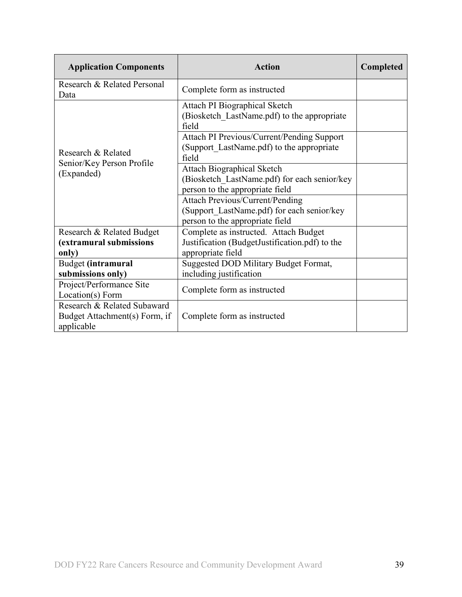| <b>Application Components</b>                                              | <b>Action</b>                                                                                                           | <b>Completed</b> |
|----------------------------------------------------------------------------|-------------------------------------------------------------------------------------------------------------------------|------------------|
| Research & Related Personal<br>Data                                        | Complete form as instructed                                                                                             |                  |
|                                                                            | Attach PI Biographical Sketch<br>(Biosketch LastName.pdf) to the appropriate<br>field                                   |                  |
| Research & Related                                                         | Attach PI Previous/Current/Pending Support<br>(Support LastName.pdf) to the appropriate<br>field                        |                  |
| Senior/Key Person Profile<br>(Expanded)                                    | <b>Attach Biographical Sketch</b><br>(Biosketch LastName.pdf) for each senior/key<br>person to the appropriate field    |                  |
|                                                                            | <b>Attach Previous/Current/Pending</b><br>(Support LastName.pdf) for each senior/key<br>person to the appropriate field |                  |
| Research & Related Budget                                                  | Complete as instructed. Attach Budget                                                                                   |                  |
| (extramural submissions                                                    | Justification (BudgetJustification.pdf) to the                                                                          |                  |
| only)                                                                      | appropriate field                                                                                                       |                  |
| Budget (intramural                                                         | Suggested DOD Military Budget Format,                                                                                   |                  |
| submissions only)                                                          | including justification                                                                                                 |                  |
| Project/Performance Site<br>Location(s) Form                               | Complete form as instructed                                                                                             |                  |
| Research & Related Subaward<br>Budget Attachment(s) Form, if<br>applicable | Complete form as instructed                                                                                             |                  |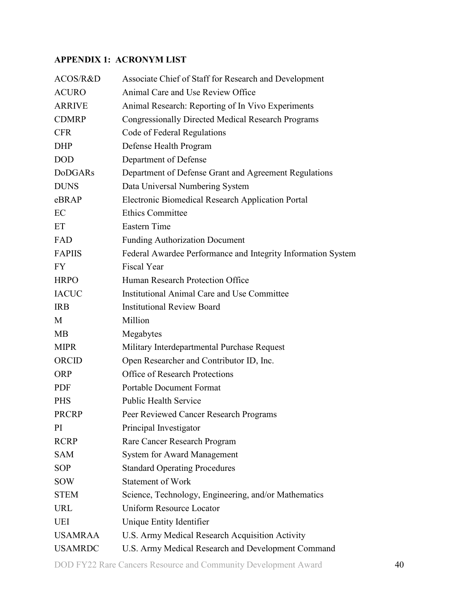## <span id="page-39-0"></span>**APPENDIX 1: ACRONYM LIST**

| ACOS/R&D       | Associate Chief of Staff for Research and Development        |
|----------------|--------------------------------------------------------------|
| <b>ACURO</b>   | Animal Care and Use Review Office                            |
| <b>ARRIVE</b>  | Animal Research: Reporting of In Vivo Experiments            |
| <b>CDMRP</b>   | <b>Congressionally Directed Medical Research Programs</b>    |
| <b>CFR</b>     | Code of Federal Regulations                                  |
| <b>DHP</b>     | Defense Health Program                                       |
| <b>DOD</b>     | Department of Defense                                        |
| <b>DoDGARs</b> | Department of Defense Grant and Agreement Regulations        |
| <b>DUNS</b>    | Data Universal Numbering System                              |
| eBRAP          | Electronic Biomedical Research Application Portal            |
| EC             | <b>Ethics Committee</b>                                      |
| ET             | <b>Eastern Time</b>                                          |
| FAD            | <b>Funding Authorization Document</b>                        |
| <b>FAPIIS</b>  | Federal Awardee Performance and Integrity Information System |
| <b>FY</b>      | <b>Fiscal Year</b>                                           |
| <b>HRPO</b>    | Human Research Protection Office                             |
| <b>IACUC</b>   | Institutional Animal Care and Use Committee                  |
| <b>IRB</b>     | <b>Institutional Review Board</b>                            |
| M              | Million                                                      |
| MB             | Megabytes                                                    |
| <b>MIPR</b>    | Military Interdepartmental Purchase Request                  |
| ORCID          | Open Researcher and Contributor ID, Inc.                     |
| <b>ORP</b>     | <b>Office of Research Protections</b>                        |
| PDF            | <b>Portable Document Format</b>                              |
| <b>PHS</b>     | <b>Public Health Service</b>                                 |
| <b>PRCRP</b>   | Peer Reviewed Cancer Research Programs                       |
| PI             | Principal Investigator                                       |
| <b>RCRP</b>    | Rare Cancer Research Program                                 |
| <b>SAM</b>     | System for Award Management                                  |
| <b>SOP</b>     | <b>Standard Operating Procedures</b>                         |
| SOW            | <b>Statement of Work</b>                                     |
| <b>STEM</b>    | Science, Technology, Engineering, and/or Mathematics         |
| <b>URL</b>     | <b>Uniform Resource Locator</b>                              |
| <b>UEI</b>     | Unique Entity Identifier                                     |
| <b>USAMRAA</b> | U.S. Army Medical Research Acquisition Activity              |
| <b>USAMRDC</b> | U.S. Army Medical Research and Development Command           |